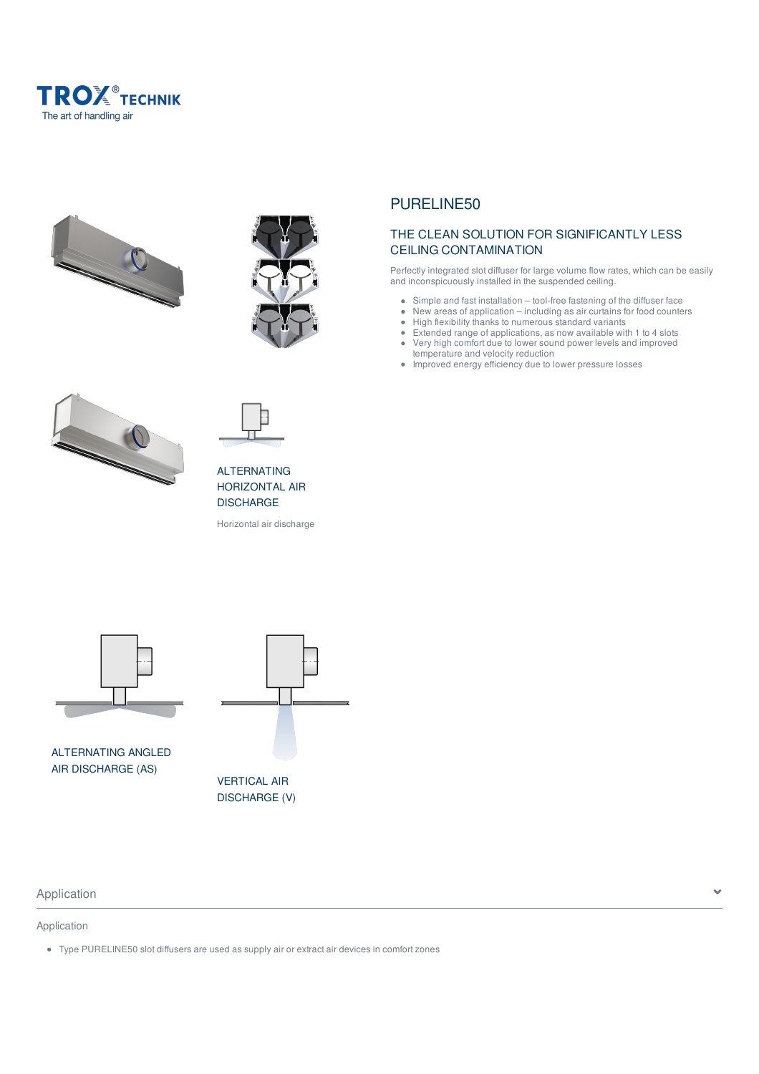









ALTERNATING HORIZONTAL AIR **DISCHARGE** 

Horizontal air discharge



ALTERNATING ANGLED AIR DISCHARGE (AS)



## Application and the set of the set of the set of the set of the set of the set of the set of the set of the set of the set of the set of the set of the set of the set of the set of the set of the set of the set of the set

## Application

Type PURELINE50 slot diffusers are used as supply air or extract air devices in comfort zones

# PURELINE50

## THE CLEAN SOLUTION FOR SIGNIFICANTLY LESS CEILING CONTAMINATION

Perfectly integrated slot diffuser for large volume flow rates, which can be easily and inconspicuously installed in the suspended ceiling.

- Simple and fast installation tool-free fastening of the diffuser face  $\bullet$
- $\bullet$ New areas of application – including as air curtains for food counters
- $\hat{\bullet}$ High flexibility thanks to numerous standard variants
- Extended range of applications, as now available with 1 to 4 slots  $\bullet$  $\bullet$ Very high comfort due to lower sound power levels and improved temperature and velocity reduction
- $\bullet$ Improved energy efficiency due to lower pressure losses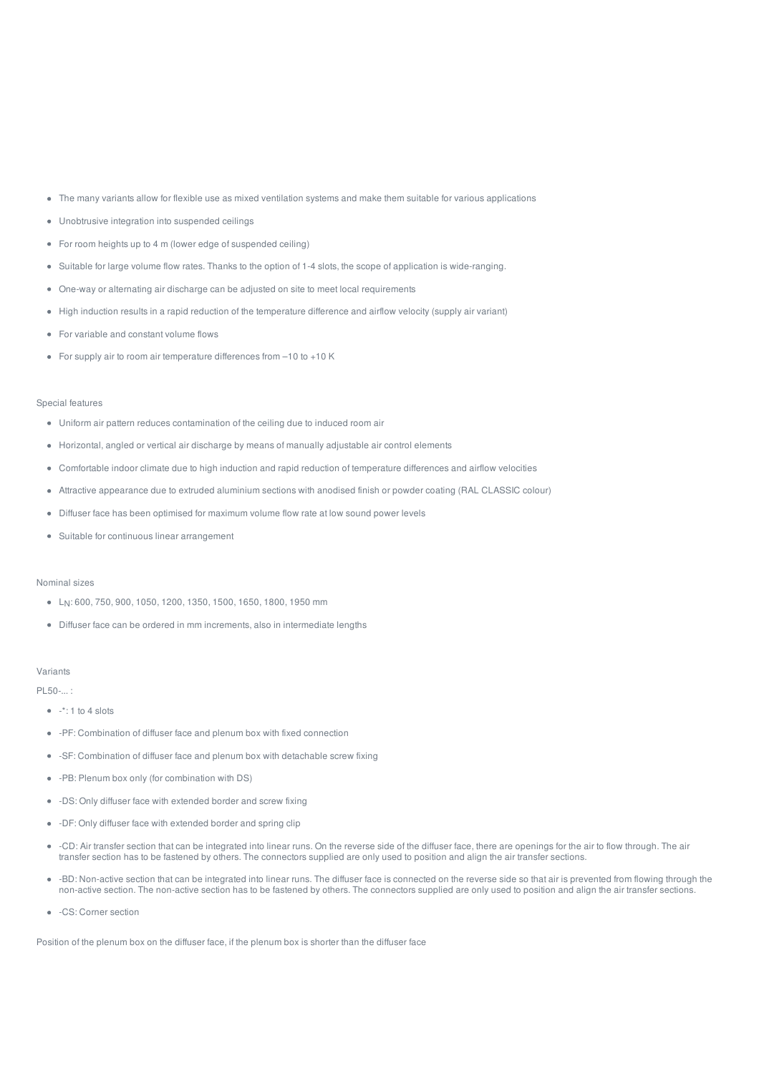- The many variants allow for flexible use as mixed ventilation systems and make them suitable for various applications
- Unobtrusive integration into suspended ceilings
- For room heights up to 4 m (lower edge of suspended ceiling)
- Suitable for large volume flow rates. Thanks to the option of 1-4 slots, the scope of application is wide-ranging.
- One-way or alternating air discharge can be adjusted on site to meet local requirements
- High induction results in a rapid reduction of the temperature difference and airflow velocity (supply air variant)
- For variable and constant volume flows
- For supply air to room air temperature differences from –10 to +10 K

#### Special features

- Uniform air pattern reduces contamination of the ceiling due to induced room air
- Horizontal, angled or vertical air discharge by means of manually adjustable air control elements
- Comfortable indoor climate due to high induction and rapid reduction of temperature differences and airflow velocities
- Attractive appearance due to extruded aluminium sections with anodised finish or powder coating (RAL CLASSIC colour)
- Diffuser face has been optimised for maximum volume flow rate at low sound power levels
- Suitable for continuous linear arrangement

#### Nominal sizes

- L<sub>N</sub>: 600, 750, 900, 1050, 1200, 1350, 1500, 1650, 1800, 1950 mm
- Diffuser face can be ordered in mm increments, also in intermediate lengths

#### Variants

PL50-... :

- $\bullet$   $\cdot$  \* 1 to 4 slots
- -PF: Combination of diffuser face and plenum box with fixed connection
- -SF: Combination of diffuser face and plenum box with detachable screw fixing
- -PB: Plenum box only (for combination with DS)
- -DS: Only diffuser face with extended border and screw fixing
- -DF: Only diffuser face with extended border and spring clip
- -CD: Air transfer section that can be integrated into linear runs. On the reverse side of the diffuser face, there are openings for the air to flow through. The air transfer section has to be fastened by others. The connectors supplied are only used to position and align the air transfer sections.
- -BD: Non-active section that can be integrated into linear runs. The diffuser face is connected on the reverse side so that air is prevented from flowing through the non-active section. The non-active section has to be fastened by others. The connectors supplied are only used to position and align the air transfer sections.
- - CS: Corner section

Position of the plenum box on the diffuser face, if the plenum box is shorter than the diffuser face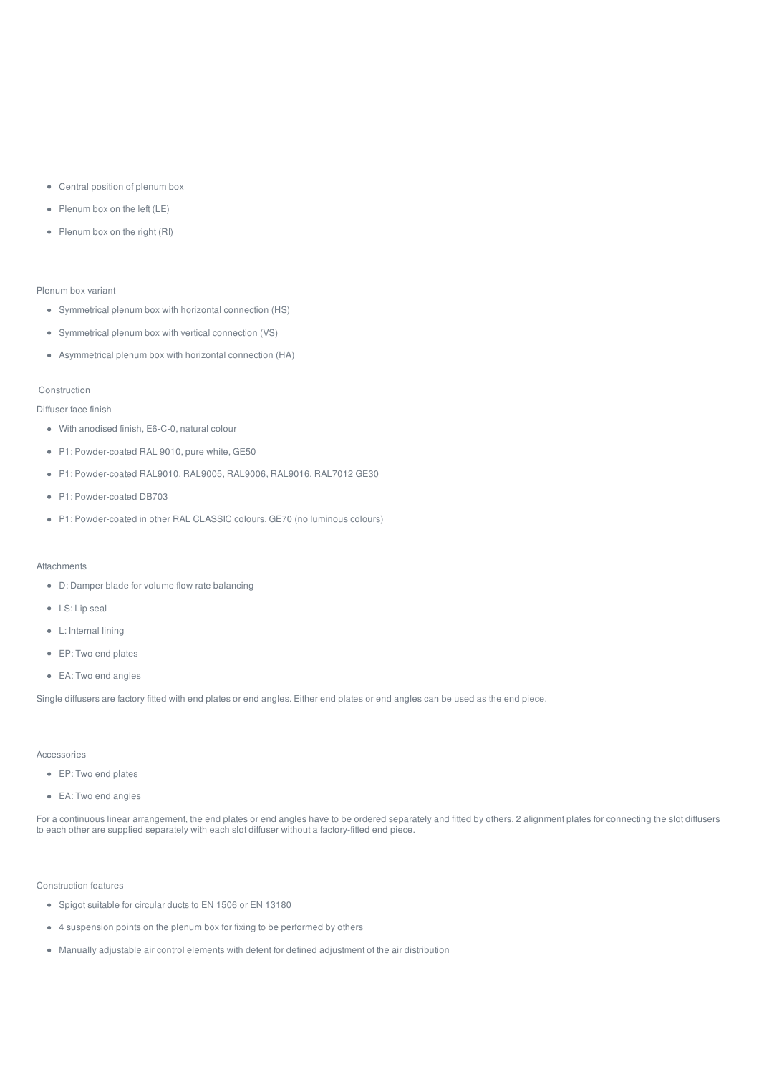- Central position of plenum box
- Plenum box on the left (LE)
- Plenum box on the right (RI)

#### Plenum box variant

- Symmetrical plenum box with horizontal connection (HS)
- Symmetrical plenum box with vertical connection (VS)
- Asymmetrical plenum box with horizontal connection (HA)

#### Construction

#### Diffuser face finish

- With anodised finish, E6-C-0, natural colour
- P1: Powder-coated RAL 9010, pure white, GE50
- P1: Powder-coated RAL9010, RAL9005, RAL9006, RAL9016, RAL7012 GE30
- P1: Powder-coated DB703
- P1: Powder-coated in other RAL CLASSIC colours, GE70 (no luminous colours)

#### Attachments

- D: Damper blade for volume flow rate balancing
- LS: Lip seal
- L: Internal lining
- EP: Two end plates
- EA: Two end angles

Single diffusers are factory fitted with end plates or end angles. Either end plates or end angles can be used as the end piece.

#### Accessories

- EP: Two end plates
- EA: Two end angles

For a continuous linear arrangement, the end plates or end angles have to be ordered separately and fitted by others. 2 alignment plates for connecting the slot diffusers to each other are supplied separately with each slot diffuser without a factory-fitted end piece.

#### Construction features

- Spigot suitable for circular ducts to EN 1506 or EN 13180
- 4 suspension points on the plenum box for fixing to be performed by others
- Manually adjustable air control elements with detent for defined adjustment of the air distribution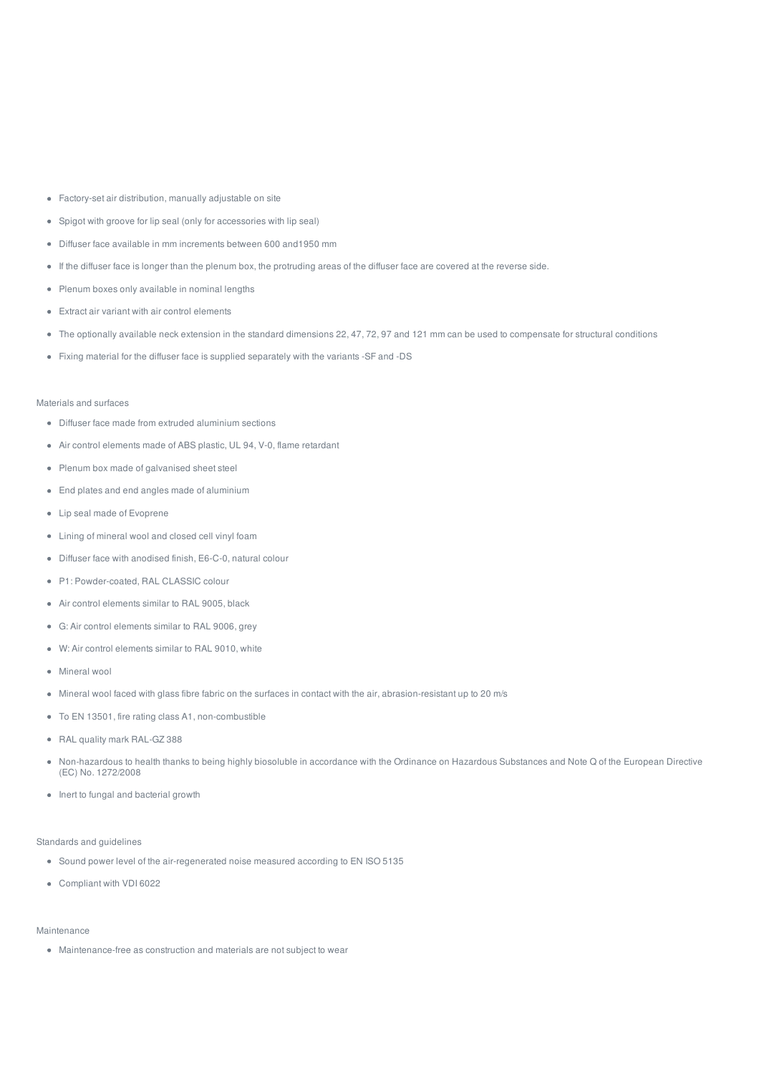- Factory-set air distribution, manually adjustable on site
- Spigot with groove for lip seal (only for accessories with lip seal)
- Diffuser face available in mm increments between 600 and1950 mm
- If the diffuser face is longer than the plenum box, the protruding areas of the diffuser face are covered at the reverse side.
- Plenum boxes only available in nominal lengths
- Extract air variant with air control elements
- The optionally available neck extension in the standard dimensions 22, 47, 72, 97 and 121 mm can be used to compensate for structural conditions
- Fixing material for the diffuser face is supplied separately with the variants -SF and -DS

#### Materials and surfaces

- Diffuser face made from extruded aluminium sections
- Air control elements made of ABS plastic, UL 94, V-0, flame retardant
- Plenum box made of galvanised sheet steel
- End plates and end angles made of aluminium
- Lip seal made of Evoprene
- Lining of mineral wool and closed cell vinyl foam
- Diffuser face with anodised finish, E6-C-0, natural colour
- P1: Powder-coated, RAL CLASSIC colour
- Air control elements similar to RAL 9005, black
- G: Air control elements similar to RAL 9006, grey
- W: Air control elements similar to RAL 9010, white
- Mineral wool
- Mineral wool faced with glass fibre fabric on the surfaces in contact with the air, abrasion-resistant up to 20 m/s
- To EN 13501, fire rating class A1, non-combustible
- RAL quality mark RAL-GZ 388
- Non-hazardous to health thanks to being highly biosoluble in accordance with the Ordinance on Hazardous Substances and Note Q of the European Directive (EC) No. 1272/2008
- Inert to fungal and bacterial growth

#### Standards and guidelines

- Sound power level of the air-regenerated noise measured according to EN ISO 5135
- Compliant with VDI 6022

#### Maintenance

Maintenance-free as construction and materials are not subject to wear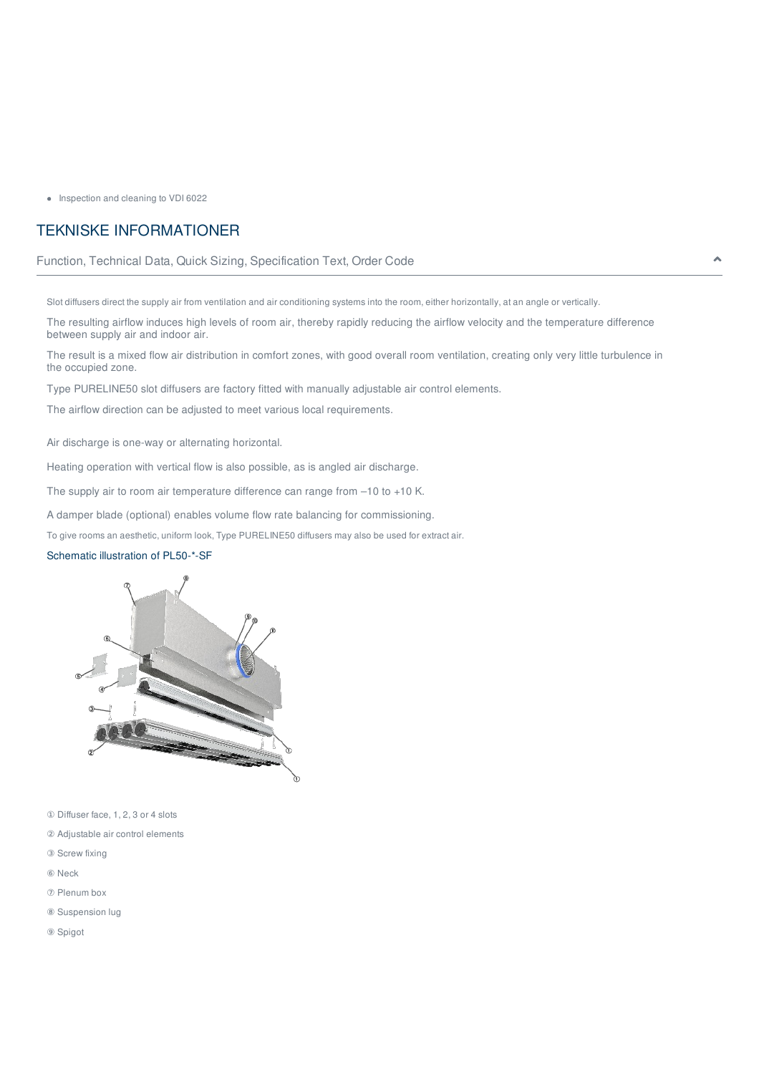• Inspection and cleaning to VDI 6022

# TEKNISKE INFORMATIONER

## Function, Technical Data, Quick Sizing, Specification Text, Order Code

Slot diffusers direct the supply air from ventilation and air conditioning systems into the room, either horizontally, at an angle or vertically.

The resulting airflow induces high levels of room air, thereby rapidly reducing the airflow velocity and the temperature difference between supply air and indoor air.

The result is a mixed flow air distribution in comfort zones, with good overall room ventilation, creating only very little turbulence in the occupied zone.

Type PURELINE50 slot diffusers are factory fitted with manually adjustable air control elements.

The airflow direction can be adjusted to meet various local requirements.

Air discharge is one-way or alternating horizontal.

Heating operation with vertical flow is also possible, as is angled air discharge.

The supply air to room air temperature difference can range from –10 to +10 K.

A damper blade (optional) enables volume flow rate balancing for commissioning.

To give rooms an aesthetic, uniform look, Type PURELINE50 diffusers may also be used for extract air.

## Schematic illustration of PL50-\*-SF



① Diffuser face, 1, 2, 3 or 4 slots

- ② Adjustable air control elements
- ③ Screw fixing
- ⑥ Neck
- ⑦ Plenum box
- ⑧ Suspension lug
- ⑨ Spigot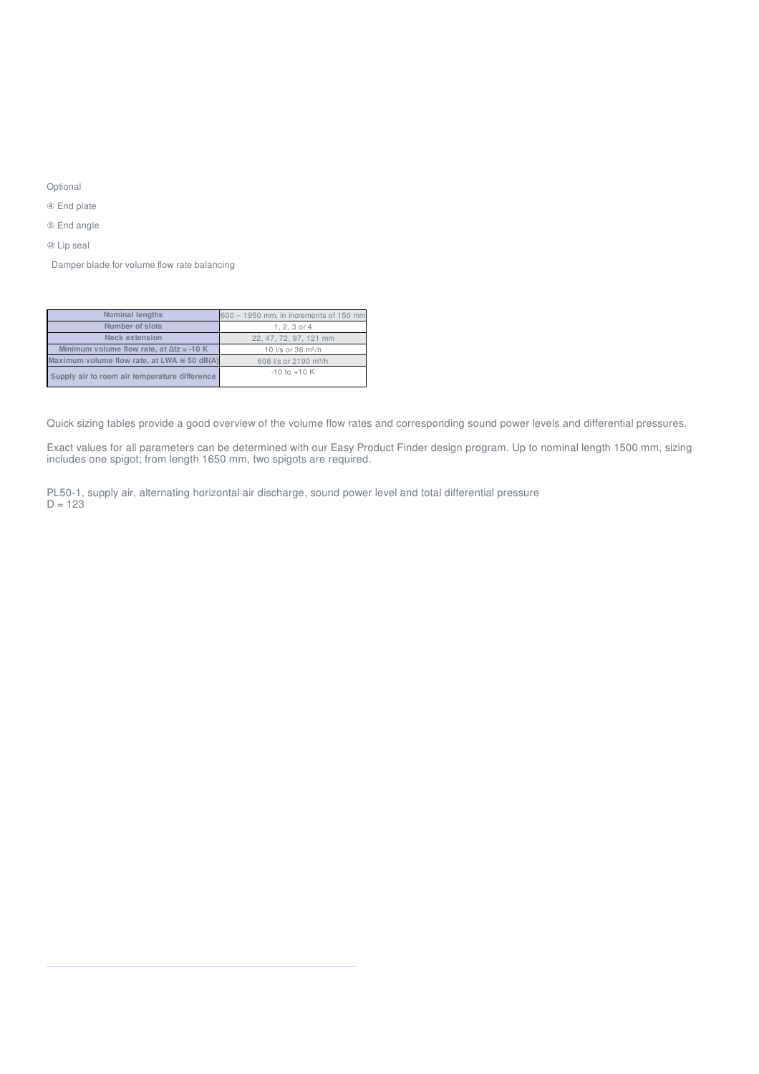Optional

④ End plate

⑤ End angle

⑩ Lip seal

Damper blade for volume flow rate balancing

| <b>Nominal lengths</b>                              | 600 - 1950 mm, in increments of 150 mm |
|-----------------------------------------------------|----------------------------------------|
| Number of slots                                     | $1, 2, 3$ or $4$                       |
| Neck extension                                      | 22, 47, 72, 97, 121 mm                 |
| Minimum volume flow rate, at $\Delta t z = -10$ K   | 10 l/s or 36 m <sup>3</sup> /h         |
| Maximum volume flow rate, at LWA $\approx$ 50 dB(A) | 608 l/s or 2190 m <sup>3</sup> /h      |
| Supply air to room air temperature difference       | $-10$ to $+10$ K                       |

Quick sizing tables provide a good overview of the volume flow rates and corresponding sound power levels and differential pressures.

Exact values for all parameters can be determined with our Easy Product Finder design program. Up to nominal length 1500 mm, sizing includes one spigot; from length 1650 mm, two spigots are required.

PL50-1, supply air, alternating horizontal air discharge, sound power level and total differential pressure  $D = 123$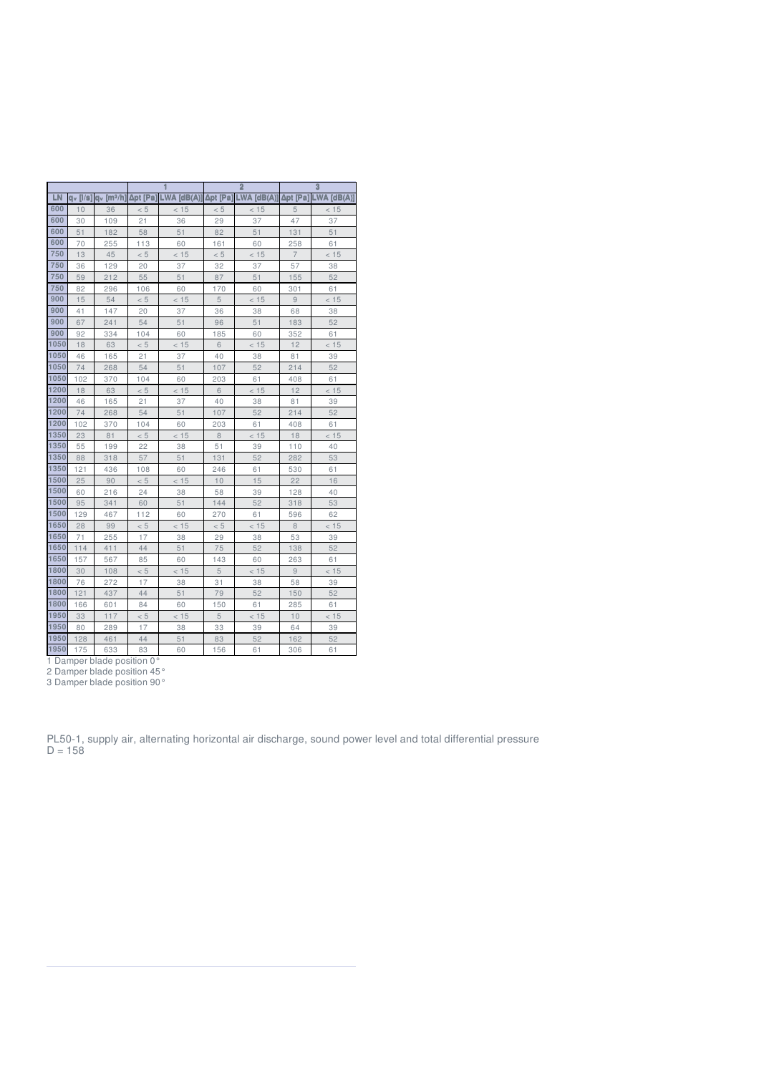|      |                |                      |          |             |          | $\overline{2}$ |                 | 3             |
|------|----------------|----------------------|----------|-------------|----------|----------------|-----------------|---------------|
| LN   | $a_v$ [ $/s$ ] | a <sub>v</sub> [mª/h | Δpt [Pa] | LWA [dB(A)] | Δpt [Pa] | $LWA$ [dB(A)]  | <b>Δpt</b> [Pa] | $LWA$ [dB(A)] |
| 600  | 10             | 36                   | < 5      | < 15        | < 5      | < 15           | 5               | < 15          |
| 600  | 30             | 109                  | 21       | 36          | 29       | 37             | 47              | 37            |
| 600  | 51             | 182                  | 58       | 51          | 82       | 51             | 131             | 51            |
| 600  | 70             | 255                  | 113      | 60          | 161      | 60             | 258             | 61            |
| 750  | 13             | 45                   | < 5      | < 15        | < 5      | < 15           | $\overline{7}$  | < 15          |
| 750  | 36             | 129                  | 20       | 37          | 32       | 37             | 57              | 38            |
| 750  | 59             | 212                  | 55       | 51          | 87       | 51             | 155             | 52            |
| 750  | 82             | 296                  | 106      | 60          | 170      | 60             | 301             | 61            |
| 900  | 15             | 54                   | < 5      | < 15        | 5        | < 15           | 9               | < 15          |
| 900  | 41             | 147                  | 20       | 37          | 36       | 38             | 68              | 38            |
| 900  | 67             | 241                  | 54       | 51          | 96       | 51             | 183             | 52            |
| 900  | 92             | 334                  | 104      | 60          | 185      | 60             | 352             | 61            |
| 1050 | 18             | 63                   | < 5      | < 15        | 6        | < 15           | 12              | < 15          |
| 1050 | 46             | 165                  | 21       | 37          | 40       | 38             | 81              | 39            |
| 1050 | 74             | 268                  | 54       | 51          | 107      | 52             | 214             | 52            |
| 1050 | 102            | 370                  | 104      | 60          | 203      | 61             | 408             | 61            |
| 1200 | 18             | 63                   | < 5      | < 15        | 6        | < 15           | 12              | < 15          |
| 1200 | 46             | 165                  | 21       | 37          | 40       | 38             | 81              | 39            |
| 1200 | 74             | 268                  | 54       | 51          | 107      | 52             | 214             | 52            |
| 1200 | 102            | 370                  | 104      | 60          | 203      | 61             | 408             | 61            |
| 1350 | 23             | 81                   | < 5      | < 15        | 8        | < 15           | 18              | < 15          |
| 1350 | 55             | 199                  | 22       | 38          | 51       | 39             | 110             | 40            |
| 1350 | 88             | 318                  | 57       | 51          | 131      | 52             | 282             | 53            |
| 1350 | 121            | 436                  | 108      | 60          | 246      | 61             | 530             | 61            |
| 1500 | 25             | 90                   | < 5      | < 15        | 10       | 15             | 22              | 16            |
| 1500 | 60             | 216                  | 24       | 38          | 58       | 39             | 128             | 40            |
| 1500 | 95             | 341                  | 60       | 51          | 144      | 52             | 318             | 53            |
| 1500 | 129            | 467                  | 112      | 60          | 270      | 61             | 596             | 62            |
| 1650 | 28             | 99                   | < 5      | < 15        | < 5      | < 15           | 8               | < 15          |
| 1650 | 71             | 255                  | 17       | 38          | 29       | 38             | 53              | 39            |
| 1650 | 114            | 411                  | 44       | 51          | 75       | 52             | 138             | 52            |
| 1650 | 157            | 567                  | 85       | 60          | 143      | 60             | 263             | 61            |
| 1800 | 30             | 108                  | < 5      | < 15        | 5        | < 15           | 9               | < 15          |
| 1800 | 76             | 272                  | 17       | 38          | 31       | 38             | 58              | 39            |
| 1800 | 121            | 437                  | 44       | 51          | 79       | 52             | 150             | 52            |
| 1800 | 166            | 601                  | 84       | 60          | 150      | 61             | 285             | 61            |
| 1950 | 33             | 117                  | < 5      | < 15        | 5        | < 15           | 10              | < 15          |
| 1950 | 80             | 289                  | 17       | 38          | 33       | 39             | 64              | 39            |
| 1950 | 128            | 461                  | 44       | 51          | 83       | 52             | 162             | 52            |
| 1950 | 175            | 633                  | 83       | 60          | 156      | 61             | 306             | 61            |

Damper blade position 0°

Damper blade position 45°

Damper blade position 90°

PL50-1, supply air, alternating horizontal air discharge, sound power level and total differential pressure  $D = 158$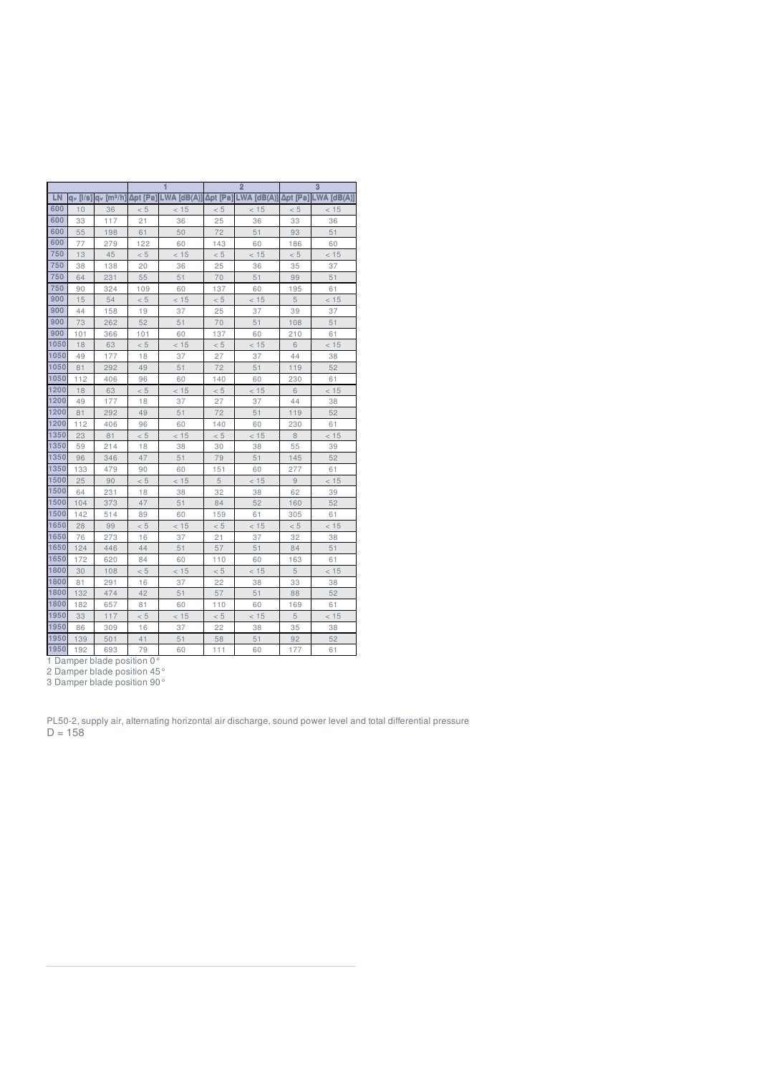|      |             |                      |          |             |                | $\overline{2}$ |          | 3             |
|------|-------------|----------------------|----------|-------------|----------------|----------------|----------|---------------|
| LN   | $a_v$ [l/s] | a <sub>v</sub> [mª/h | Δpt [Pa] | LWA [dB(A)] | <b>∆pt [Pa</b> | $LWA$ [dB(A)]  | Δpt [Pa] | $LWA$ [dB(A)] |
| 600  | 10          | 36                   | < 5      | < 15        | < 5            | < 15           | < 5      | < 15          |
| 600  | 33          | 117                  | 21       | 36          | 25             | 36             | 33       | 36            |
| 600  | 55          | 198                  | 61       | 50          | 72             | 51             | 93       | 51            |
| 600  | 77          | 279                  | 122      | 60          | 143            | 60             | 186      | 60            |
| 750  | 13          | 45                   | < 5      | < 15        | < 5            | < 15           | < 5      | < 15          |
| 750  | 38          | 138                  | 20       | 36          | 25             | 36             | 35       | 37            |
| 750  | 64          | 231                  | 55       | 51          | 70             | 51             | 99       | 51            |
| 750  | 90          | 324                  | 109      | 60          | 137            | 60             | 195      | 61            |
| 900  | 15          | 54                   | < 5      | < 15        | $< 5\,$        | < 15           | 5        | < 15          |
| 900  | 44          | 158                  | 19       | 37          | 25             | 37             | 39       | 37            |
| 900  | 73          | 262                  | 52       | 51          | 70             | 51             | 108      | 51            |
| 900  | 101         | 366                  | 101      | 60          | 137            | 60             | 210      | 61            |
| 1050 | 18          | 63                   | < 5      | < 15        | < 5            | < 15           | 6        | < 15          |
| 1050 | 49          | 177                  | 18       | 37          | 27             | 37             | 44       | 38            |
| 1050 | 81          | 292                  | 49       | 51          | 72             | 51             | 119      | 52            |
| 1050 | 112         | 406                  | 96       | 60          | 140            | 60             | 230      | 61            |
| 1200 | 18          | 63                   | < 5      | < 15        | < 5            | < 15           | 6        | < 15          |
| 1200 | 49          | 177                  | 18       | 37          | 27             | 37             | 44       | 38            |
| 1200 | 81          | 292                  | 49       | 51          | 72             | 51             | 119      | 52            |
| 1200 | 112         | 406                  | 96       | 60          | 140            | 60             | 230      | 61            |
| 1350 | 23          | 81                   | < 5      | < 15        | < 5            | < 15           | $\,8\,$  | < 15          |
| 1350 | 59          | 214                  | 18       | 38          | 30             | 38             | 55       | 39            |
| 1350 | 96          | 346                  | 47       | 51          | 79             | 51             | 145      | 52            |
| 1350 | 133         | 479                  | 90       | 60          | 151            | 60             | 277      | 61            |
| 1500 | 25          | 90                   | < 5      | < 15        | 5              | < 15           | 9        | < 15          |
| 1500 | 64          | 231                  | 18       | 38          | 32             | 38             | 62       | 39            |
| 1500 | 104         | 373                  | 47       | 51          | 84             | 52             | 160      | 52            |
| 1500 | 142         | 514                  | 89       | 60          | 159            | 61             | 305      | 61            |
| 1650 | 28          | 99                   | < 5      | < 15        | < 5            | < 15           | < 5      | < 15          |
| 1650 | 76          | 273                  | 16       | 37          | 21             | 37             | 32       | 38            |
| 1650 | 124         | 446                  | 44       | 51          | 57             | 51             | 84       | 51            |
| 1650 | 172         | 620                  | 84       | 60          | 110            | 60             | 163      | 61            |
| 1800 | 30          | 108                  | < 5      | < 15        | < 5            | < 15           | 5        | < 15          |
| 1800 | 81          | 291                  | 16       | 37          | 22             | 38             | 33       | 38            |
| 1800 | 132         | 474                  | 42       | 51          | 57             | 51             | 88       | 52            |
| 1800 | 182         | 657                  | 81       | 60          | 110            | 60             | 169      | 61            |
| 1950 | 33          | 117                  | < 5      | < 15        | < 5            | < 15           | 5        | < 15          |
| 1950 | 86          | 309                  | 16       | 37          | 22             | 38             | 35       | 38            |
| 1950 | 139         | 501                  | 41       | 51          | 58             | 51             | 92       | 52            |
| 1950 | 192         | 693                  | 79       | 60          | 111            | 60             | 177      | 61            |

Damper blade position 0°

Damper blade position 45°

Damper blade position 90°

PL50-2, supply air, alternating horizontal air discharge, sound power level and total differential pressure  $D = 158$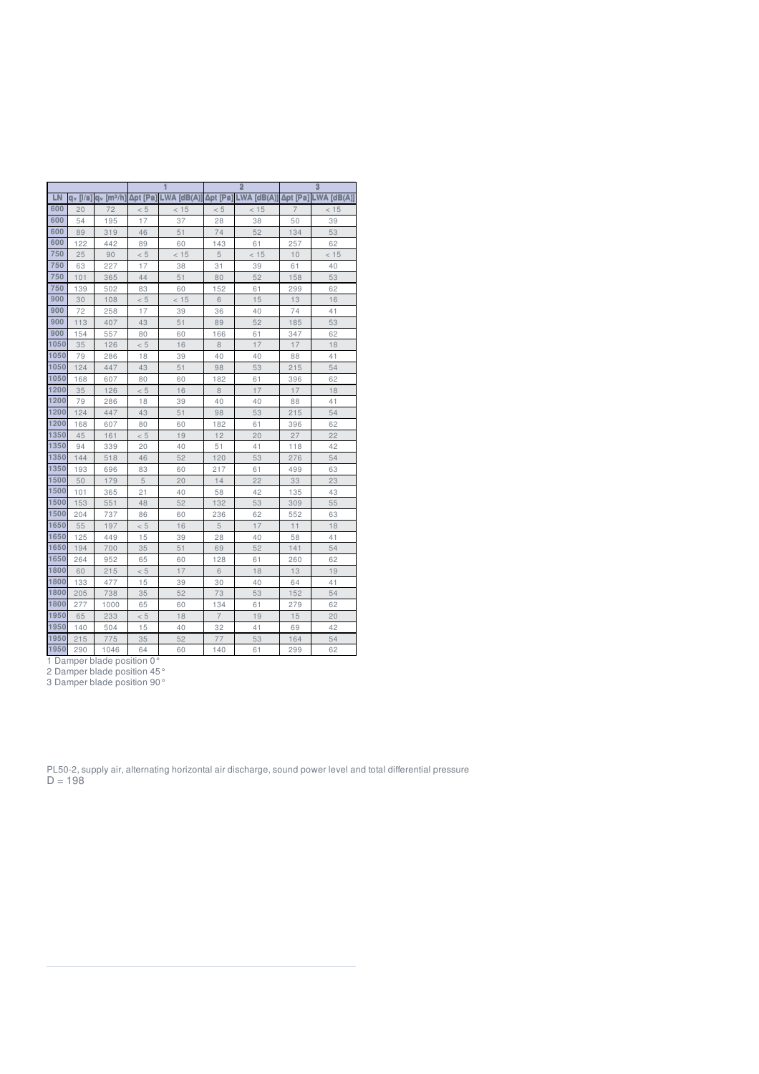|      |                |                       |          |             |                | $\overline{2}$ |                | $\overline{3}$ |
|------|----------------|-----------------------|----------|-------------|----------------|----------------|----------------|----------------|
| LN   | $a_v$ [ $/s$ ] | q <sub>v</sub> [mª/h] | Δpt [Pa] | LWA [dB(A)] | Δpt [Pa]       | LWA [dB(A)]    | Δpt [Pa]       | LWA [dB(A)]    |
| 600  | 20             | 72                    | < 5      | < 15        | < 5            | < 15           | $\overline{7}$ | < 15           |
| 600  | 54             | 195                   | 17       | 37          | 28             | 38             | 50             | 39             |
| 600  | 89             | 319                   | 46       | 51          | 74             | 52             | 134            | 53             |
| 600  | 122            | 442                   | 89       | 60          | 143            | 61             | 257            | 62             |
| 750  | 25             | 90                    | < 5      | < 15        | 5              | < 15           | 10             | < 15           |
| 750  | 63             | 227                   | 17       | 38          | 31             | 39             | 61             | 40             |
| 750  | 101            | 365                   | 44       | 51          | 80             | 52             | 158            | 53             |
| 750  | 139            | 502                   | 83       | 60          | 152            | 61             | 299            | 62             |
| 900  | 30             | 108                   | < 5      | < 15        | 6              | 15             | 13             | 16             |
| 900  | 72             | 258                   | 17       | 39          | 36             | 40             | 74             | 41             |
| 900  | 113            | 407                   | 43       | 51          | 89             | 52             | 185            | 53             |
| 900  | 154            | 557                   | 80       | 60          | 166            | 61             | 347            | 62             |
| 1050 | 35             | 126                   | < 5      | 16          | 8              | 17             | 17             | 18             |
| 1050 | 79             | 286                   | 18       | 39          | 40             | 40             | 88             | 41             |
| 1050 | 124            | 447                   | 43       | 51          | 98             | 53             | 215            | 54             |
| 1050 | 168            | 607                   | 80       | 60          | 182            | 61             | 396            | 62             |
| 1200 | 35             | 126                   | < 5      | 16          | 8              | 17             | 17             | 18             |
| 1200 | 79             | 286                   | 18       | 39          | 40             | 40             | 88             | 41             |
| 1200 | 124            | 447                   | 43       | 51          | 98             | 53             | 215            | 54             |
| 1200 | 168            | 607                   | 80       | 60          | 182            | 61             | 396            | 62             |
| 1350 | 45             | 161                   | < 5      | 19          | 12             | 20             | 27             | 22             |
| 1350 | 94             | 339                   | 20       | 40          | 51             | 41             | 118            | 42             |
| 1350 | 144            | 518                   | 46       | 52          | 120            | 53             | 276            | 54             |
| 1350 | 193            | 696                   | 83       | 60          | 217            | 61             | 499            | 63             |
| 1500 | 50             | 179                   | 5        | 20          | 14             | 22             | 33             | 23             |
| 1500 | 101            | 365                   | 21       | 40          | 58             | 42             | 135            | 43             |
| 1500 | 153            | 551                   | 48       | 52          | 132            | 53             | 309            | 55             |
| 1500 | 204            | 737                   | 86       | 60          | 236            | 62             | 552            | 63             |
| 1650 | 55             | 197                   | < 5      | 16          | 5              | 17             | 11             | 18             |
| 1650 | 125            | 449                   | 15       | 39          | 28             | 40             | 58             | 41             |
| 1650 | 194            | 700                   | 35       | 51          | 69             | 52             | 141            | 54             |
| 1650 | 264            | 952                   | 65       | 60          | 128            | 61             | 260            | 62             |
| 1800 | 60             | 215                   | < 5      | 17          | 6              | 18             | 13             | 19             |
| 1800 | 133            | 477                   | 15       | 39          | 30             | 40             | 64             | 41             |
| 1800 | 205            | 738                   | 35       | 52          | 73             | 53             | 152            | 54             |
| 1800 | 277            | 1000                  | 65       | 60          | 134            | 61             | 279            | 62             |
| 1950 | 65             | 233                   | < 5      | 18          | $\overline{7}$ | 19             | 15             | 20             |
| 1950 | 140            | 504                   | 15       | 40          | 32             | 41             | 69             | 42             |
| 1950 | 215            | 775                   | 35       | 52          | 77             | 53             | 164            | 54             |

290 1046 64 60 140 61 299 62

Damper blade position 0°

Damper blade position 45°

Damper blade position 90°

PL50-2, supply air, alternating horizontal air discharge, sound power level and total differential pressure  $D = 198$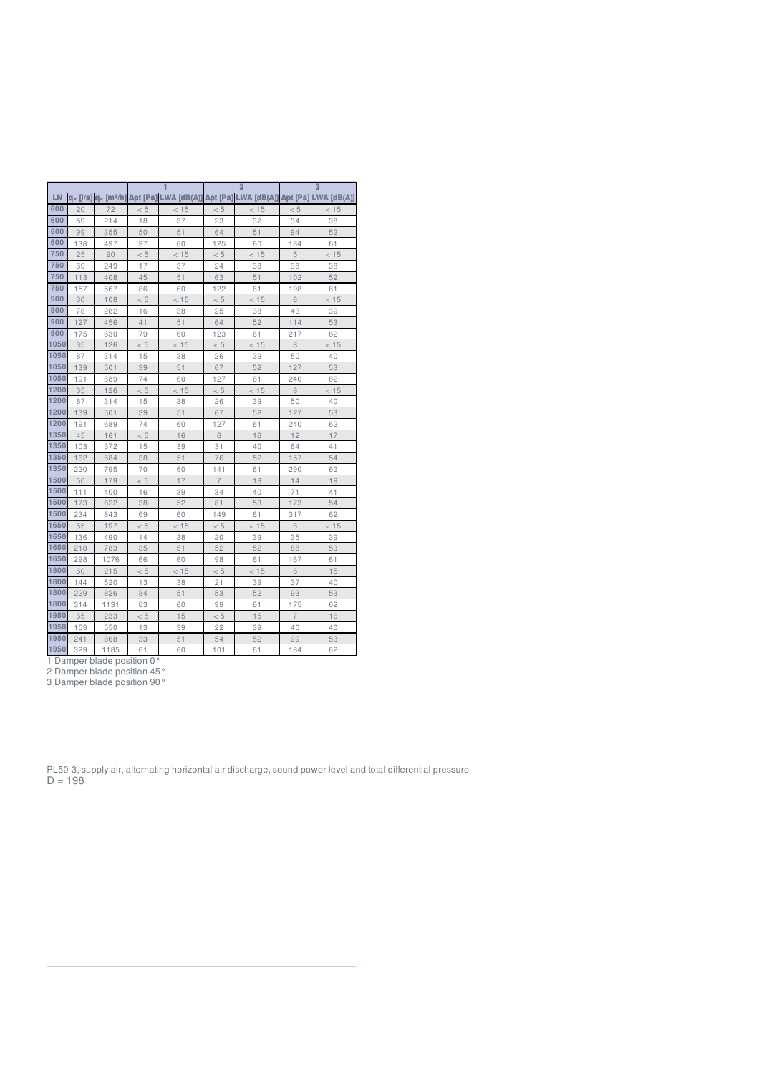|      |                |                          |          |             |                | $\overline{2}$ |                | $\overline{3}$ |
|------|----------------|--------------------------|----------|-------------|----------------|----------------|----------------|----------------|
| LN   | $a_v$ [ $/s$ ] | $av$ [m <sup>3</sup> /h] | Δpt [Pa] | LWA [dB(A)] | Δpt [Pa]       | LWA [dB(A)]    | Δpt [Pa]       | LWA [dB(A)]    |
| 600  | 20             | 72                       | < 5      | < 15        | < 5            | < 15           | < 5            | < 15           |
| 600  | 59             | 214                      | 18       | 37          | 23             | 37             | 34             | 38             |
| 600  | 99             | 355                      | 50       | 51          | 64             | 51             | 94             | 52             |
| 600  | 138            | 497                      | 97       | 60          | 125            | 60             | 184            | 61             |
| 750  | 25             | 90                       | < 5      | < 15        | < 5            | < 15           | 5              | < 15           |
| 750  | 69             | 249                      | 17       | 37          | 24             | 38             | 38             | 38             |
| 750  | 113            | 408                      | 45       | 51          | 63             | 51             | 102            | 52             |
| 750  | 157            | 567                      | 86       | 60          | 122            | 61             | 198            | 61             |
| 900  | 30             | 108                      | < 5      | < 15        | < 5            | < 15           | 6              | < 15           |
| 900  | 78             | 282                      | 16       | 38          | 25             | 38             | 43             | 39             |
| 900  | 127            | 456                      | 41       | 51          | 64             | 52             | 114            | 53             |
| 900  | 175            | 630                      | 79       | 60          | 123            | 61             | 217            | 62             |
| 1050 | 35             | 126                      | < 5      | < 15        | < 5            | < 15           | 8              | < 15           |
| 1050 | 87             | 314                      | 15       | 38          | 26             | 39             | 50             | 40             |
| 1050 | 139            | 501                      | 39       | 51          | 67             | 52             | 127            | 53             |
| 1050 | 191            | 689                      | 74       | 60          | 127            | 61             | 240            | 62             |
| 1200 | 35             | 126                      | < 5      | < 15        | < 5            | < 15           | 8              | < 15           |
| 1200 | 87             | 314                      | 15       | 38          | 26             | 39             | 50             | 40             |
| 1200 | 139            | 501                      | 39       | 51          | 67             | 52             | 127            | 53             |
| 1200 | 191            | 689                      | 74       | 60          | 127            | 61             | 240            | 62             |
| 1350 | 45             | 161                      | < 5      | 16          | 6              | 16             | 12             | 17             |
| 1350 | 103            | 372                      | 15       | 39          | 31             | 40             | 64             | 41             |
| 1350 | 162            | 584                      | 38       | 51          | 76             | 52             | 157            | 54             |
| 1350 | 220            | 795                      | 70       | 60          | 141            | 61             | 290            | 62             |
| 1500 | 50             | 179                      | < 5      | 17          | $\overline{7}$ | 18             | 14             | 19             |
| 1500 | 111            | 400                      | 16       | 39          | 34             | 40             | 71             | 41             |
| 1500 | 173            | 622                      | 38       | 52          | 81             | 53             | 173            | 54             |
| 1500 | 234            | 843                      | 69       | 60          | 149            | 61             | 317            | 62             |
| 1650 | 55             | 197                      | < 5      | < 15        | < 5            | < 15           | 6              | < 15           |
| 1650 | 136            | 490                      | 14       | 38          | 20             | 39             | 35             | 39             |
| 1650 | 218            | 783                      | 35       | 51          | 52             | 52             | 88             | 53             |
| 1650 | 298            | 1076                     | 66       | 60          | 98             | 61             | 167            | 61             |
| 1800 | 60             | 215                      | < 5      | < 15        | < 5            | < 15           | 6              | 15             |
| 1800 | 144            | 520                      | 13       | 38          | 21             | 39             | 37             | 40             |
| 1800 | 229            | 826                      | 34       | 51          | 53             | 52             | 93             | 53             |
| 1800 | 314            | 1131                     | 63       | 60          | 99             | 61             | 175            | 62             |
| 1950 | 65             | 233                      | < 5      | 15          | < 5            | 15             | $\overline{7}$ | 16             |
| 1950 | 153            | 550                      | 13       | 39          | 22             | 39             | 40             | 40             |
| 1950 | 241            | 868                      | 33       | 51          | 54             | 52             | 99             | 53             |

329 1185 61 60 101 61 184 62

Damper blade position 0°

Damper blade position 45°

Damper blade position 90°

PL50-3, supply air, alternating horizontal air discharge, sound power level and total differential pressure  $D = 198$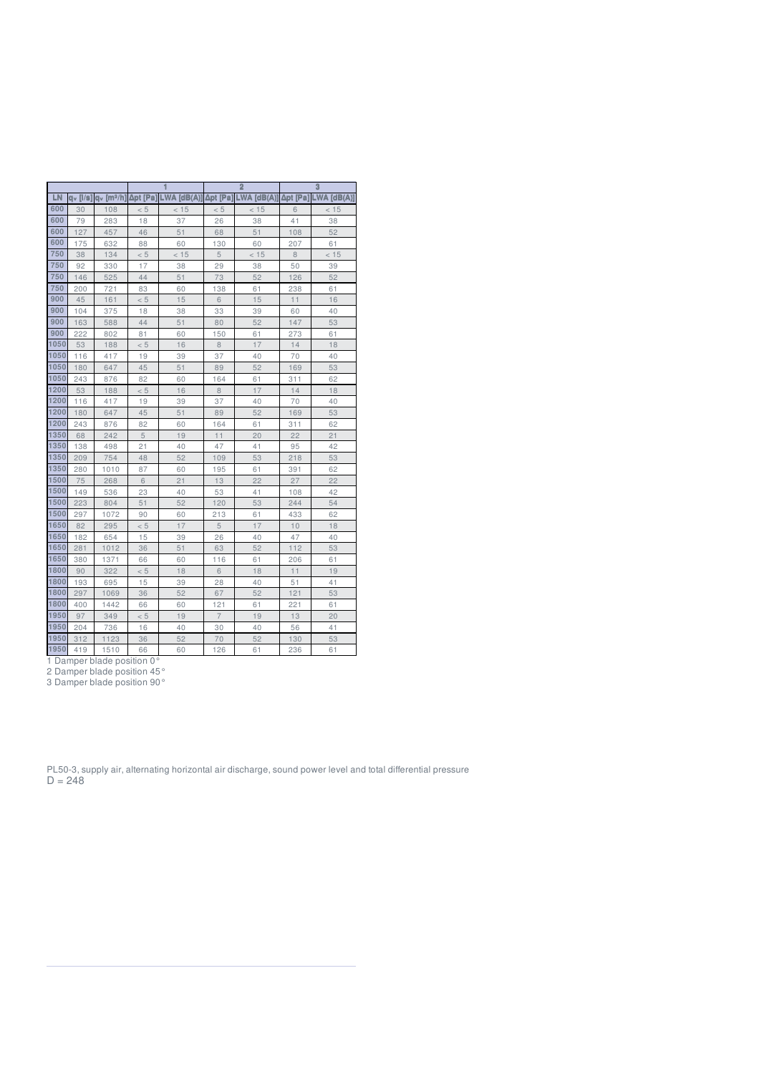|      |          |                       |          |             |                | $\overline{2}$ |          | $\overline{3}$ |
|------|----------|-----------------------|----------|-------------|----------------|----------------|----------|----------------|
| LN   | dv [l/s] | q <sub>v</sub> [mª/h] | Δpt [Pa] | LWA [dB(A)] | Δpt [Pa]       | LWA [dB(A)]    | Δpt [Pa] | $LWA$ [dB(A)]  |
| 600  | 30       | 108                   | < 5      | < 15        | < 5            | < 15           | 6        | < 15           |
| 600  | 79       | 283                   | 18       | 37          | 26             | 38             | 41       | 38             |
| 600  | 127      | 457                   | 46       | 51          | 68             | 51             | 108      | 52             |
| 600  | 175      | 632                   | 88       | 60          | 130            | 60             | 207      | 61             |
| 750  | 38       | 134                   | < 5      | < 15        | 5              | < 15           | 8        | < 15           |
| 750  | 92       | 330                   | 17       | 38          | 29             | 38             | 50       | 39             |
| 750  | 146      | 525                   | 44       | 51          | 73             | 52             | 126      | 52             |
| 750  | 200      | 721                   | 83       | 60          | 138            | 61             | 238      | 61             |
| 900  | 45       | 161                   | < 5      | 15          | 6              | 15             | 11       | 16             |
| 900  | 104      | 375                   | 18       | 38          | 33             | 39             | 60       | 40             |
| 900  | 163      | 588                   | 44       | 51          | 80             | 52             | 147      | 53             |
| 900  | 222      | 802                   | 81       | 60          | 150            | 61             | 273      | 61             |
| 1050 | 53       | 188                   | < 5      | 16          | 8              | 17             | 14       | 18             |
| 1050 | 116      | 417                   | 19       | 39          | 37             | 40             | 70       | 40             |
| 1050 | 180      | 647                   | 45       | 51          | 89             | 52             | 169      | 53             |
| 1050 | 243      | 876                   | 82       | 60          | 164            | 61             | 311      | 62             |
| 1200 | 53       | 188                   | < 5      | 16          | 8              | 17             | 14       | 18             |
| 1200 | 116      | 417                   | 19       | 39          | 37             | 40             | 70       | 40             |
| 1200 | 180      | 647                   | 45       | 51          | 89             | 52             | 169      | 53             |
| 1200 | 243      | 876                   | 82       | 60          | 164            | 61             | 311      | 62             |
| 1350 | 68       | 242                   | 5        | 19          | 11             | 20             | 22       | 21             |
| 1350 | 138      | 498                   | 21       | 40          | 47             | 41             | 95       | 42             |
| 1350 | 209      | 754                   | 48       | 52          | 109            | 53             | 218      | 53             |
| 1350 | 280      | 1010                  | 87       | 60          | 195            | 61             | 391      | 62             |
| 1500 | 75       | 268                   | 6        | 21          | 13             | 22             | 27       | 22             |
| 1500 | 149      | 536                   | 23       | 40          | 53             | 41             | 108      | 42             |
| 1500 | 223      | 804                   | 51       | 52          | 120            | 53             | 244      | 54             |
| 1500 | 297      | 1072                  | 90       | 60          | 213            | 61             | 433      | 62             |
| 1650 | 82       | 295                   | < 5      | 17          | 5              | 17             | 10       | 18             |
| 1650 | 182      | 654                   | 15       | 39          | 26             | 40             | 47       | 40             |
| 1650 | 281      | 1012                  | 36       | 51          | 63             | 52             | 112      | 53             |
| 1650 | 380      | 1371                  | 66       | 60          | 116            | 61             | 206      | 61             |
| 1800 | 90       | 322                   | < 5      | 18          | 6              | 18             | 11       | 19             |
| 1800 | 193      | 695                   | 15       | 39          | 28             | 40             | 51       | 41             |
| 1800 | 297      | 1069                  | 36       | 52          | 67             | 52             | 121      | 53             |
| 1800 | 400      | 1442                  | 66       | 60          | 121            | 61             | 221      | 61             |
| 1950 | 97       | 349                   | < 5      | 19          | $\overline{7}$ | 19             | 13       | 20             |
| 1950 | 204      | 736                   | 16       | 40          | 30             | 40             | 56       | 41             |
| 1950 | 312      | 1123                  | 36       | 52          | 70             | 52             | 130      | 53             |

419 1510 66 60 126 61 236 61

Damper blade position 0°

Damper blade position 45°

Damper blade position 90°

PL50-3, supply air, alternating horizontal air discharge, sound power level and total differential pressure  $D = 248$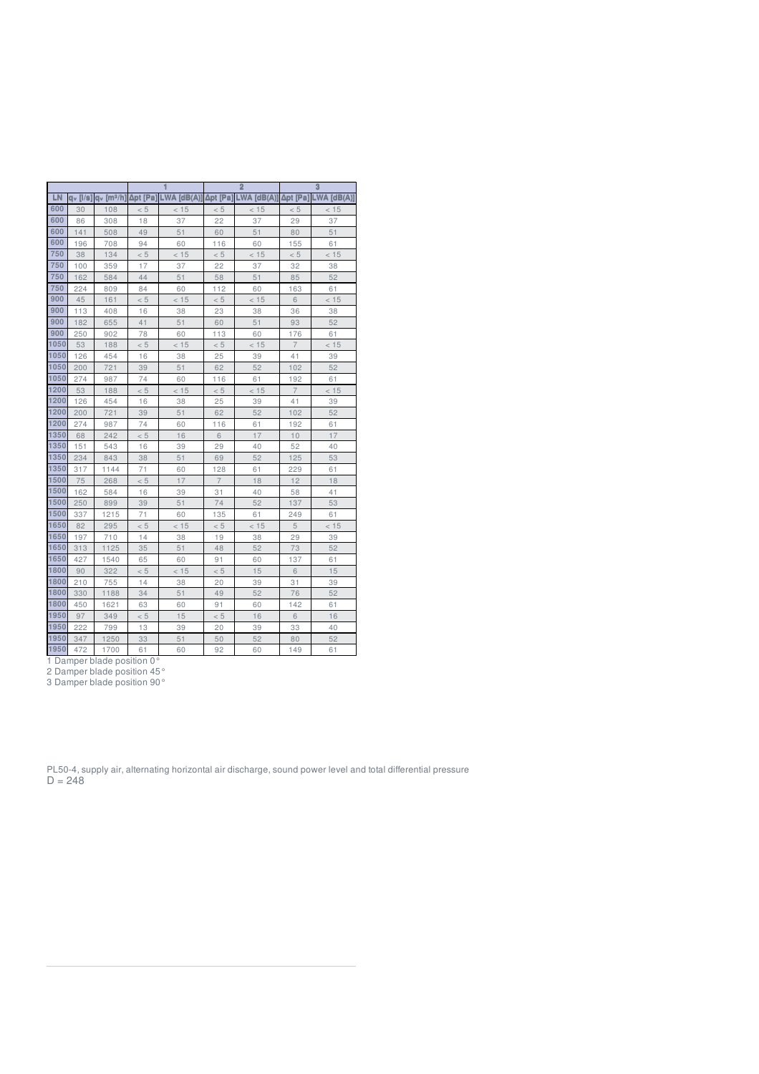|      |                        |                       |          |             |                | $\overline{2}$ |                | $\overline{3}$ |
|------|------------------------|-----------------------|----------|-------------|----------------|----------------|----------------|----------------|
| LN   | $dv$ [ $ /\mathbf{s} $ | q <sub>v</sub> [mª/h] | Δpt [Pa] | LWA [dB(A)] | Δpt [Pa]       | LWA [dB(A)]    | Δpt [Pa]       | $LWA$ [dB(A)]  |
| 600  | 30                     | 108                   | < 5      | < 15        | < 5            | < 15           | < 5            | < 15           |
| 600  | 86                     | 308                   | 18       | 37          | 22             | 37             | 29             | 37             |
| 600  | 141                    | 508                   | 49       | 51          | 60             | 51             | 80             | 51             |
| 600  | 196                    | 708                   | 94       | 60          | 116            | 60             | 155            | 61             |
| 750  | 38                     | 134                   | < 5      | < 15        | < 5            | < 15           | < 5            | < 15           |
| 750  | 100                    | 359                   | 17       | 37          | 22             | 37             | 32             | 38             |
| 750  | 162                    | 584                   | 44       | 51          | 58             | 51             | 85             | 52             |
| 750  | 224                    | 809                   | 84       | 60          | 112            | 60             | 163            | 61             |
| 900  | 45                     | 161                   | < 5      | < 15        | < 5            | < 15           | 6              | < 15           |
| 900  | 113                    | 408                   | 16       | 38          | 23             | 38             | 36             | 38             |
| 900  | 182                    | 655                   | 41       | 51          | 60             | 51             | 93             | 52             |
| 900  | 250                    | 902                   | 78       | 60          | 113            | 60             | 176            | 61             |
| 1050 | 53                     | 188                   | < 5      | < 15        | < 5            | < 15           | $\overline{7}$ | < 15           |
| 1050 | 126                    | 454                   | 16       | 38          | 25             | 39             | 41             | 39             |
| 1050 | 200                    | 721                   | 39       | 51          | 62             | 52             | 102            | 52             |
| 1050 | 274                    | 987                   | 74       | 60          | 116            | 61             | 192            | 61             |
| 1200 | 53                     | 188                   | < 5      | < 15        | < 5            | < 15           | $\overline{7}$ | < 15           |
| 1200 | 126                    | 454                   | 16       | 38          | 25             | 39             | 41             | 39             |
| 1200 | 200                    | 721                   | 39       | 51          | 62             | 52             | 102            | 52             |
| 1200 | 274                    | 987                   | 74       | 60          | 116            | 61             | 192            | 61             |
| 1350 | 68                     | 242                   | < 5      | 16          | 6              | 17             | 10             | 17             |
| 1350 | 151                    | 543                   | 16       | 39          | 29             | 40             | 52             | 40             |
| 1350 | 234                    | 843                   | 38       | 51          | 69             | 52             | 125            | 53             |
| 1350 | 317                    | 1144                  | 71       | 60          | 128            | 61             | 229            | 61             |
| 1500 | 75                     | 268                   | < 5      | 17          | $\overline{7}$ | 18             | 12             | 18             |
| 1500 | 162                    | 584                   | 16       | 39          | 31             | 40             | 58             | 41             |
| 1500 | 250                    | 899                   | 39       | 51          | 74             | 52             | 137            | 53             |
| 1500 | 337                    | 1215                  | 71       | 60          | 135            | 61             | 249            | 61             |
| 1650 | 82                     | 295                   | < 5      | < 15        | < 5            | < 15           | 5              | < 15           |
| 1650 | 197                    | 710                   | 14       | 38          | 19             | 38             | 29             | 39             |
| 1650 | 313                    | 1125                  | 35       | 51          | 48             | 52             | 73             | 52             |
| 1650 | 427                    | 1540                  | 65       | 60          | 91             | 60             | 137            | 61             |
| 1800 | 90                     | 322                   | < 5      | < 15        | < 5            | 15             | 6              | 15             |
| 1800 | 210                    | 755                   | 14       | 38          | 20             | 39             | 31             | 39             |
| 1800 | 330                    | 1188                  | 34       | 51          | 49             | 52             | 76             | 52             |
| 1800 | 450                    | 1621                  | 63       | 60          | 91             | 60             | 142            | 61             |
| 1950 | 97                     | 349                   | < 5      | 15          | < 5            | 16             | 6              | 16             |
| 1950 | 222                    | 799                   | 13       | 39          | 20             | 39             | 33             | 40             |
| 1950 | 347                    | 1250                  | 33       | 51          | 50             | 52             | 80             | 52             |

472 1700 61 60 92 60 149 61

Damper blade position 0°

Damper blade position 45°

Damper blade position 90°

PL50-4, supply air, alternating horizontal air discharge, sound power level and total differential pressure  $D = 248$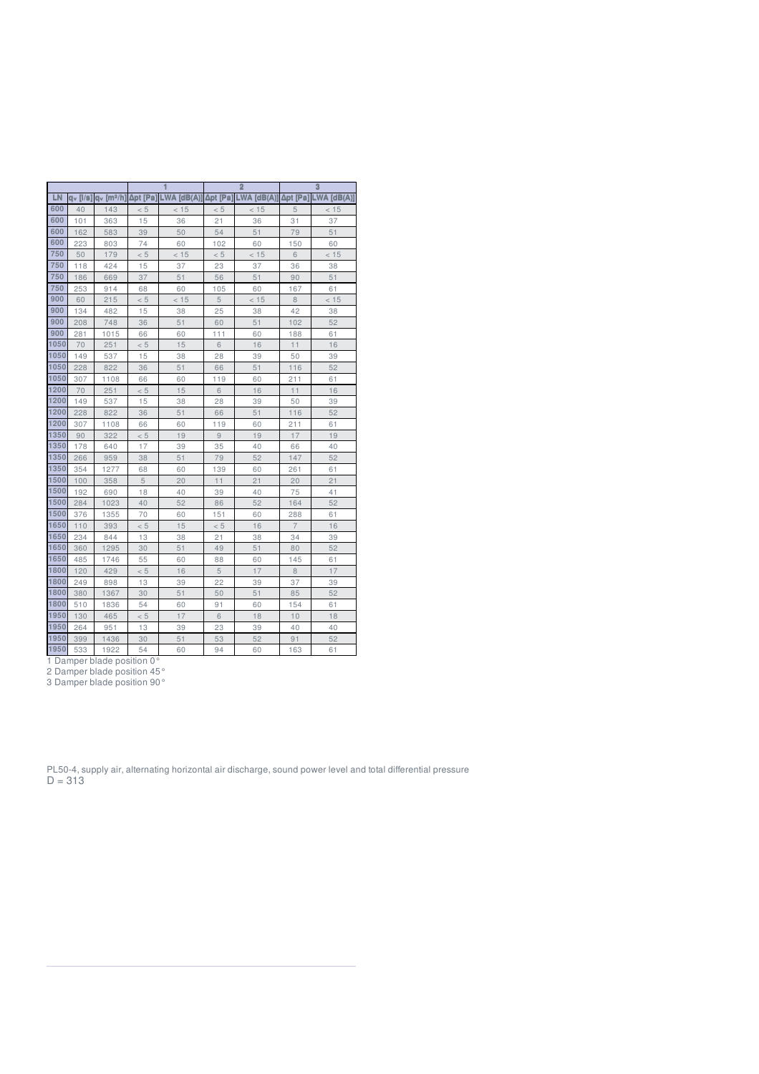|      |                |                       |          |             |          | $\overline{2}$ |                | $\overline{3}$  |
|------|----------------|-----------------------|----------|-------------|----------|----------------|----------------|-----------------|
| LN   | $a_v$ [ $/s$ ] | q <sub>v</sub> [mª/h] | Δpt [Pa] | LWA [dB(A)] | Δpt [Pa] | LWA [dB(A)]    | Δpt [Pa]       | $LWA$ $[dB(A)]$ |
| 600  | 40             | 143                   | < 5      | < 15        | < 5      | < 15           | 5              | < 15            |
| 600  | 101            | 363                   | 15       | 36          | 21       | 36             | 31             | 37              |
| 600  | 162            | 583                   | 39       | 50          | 54       | 51             | 79             | 51              |
| 600  | 223            | 803                   | 74       | 60          | 102      | 60             | 150            | 60              |
| 750  | 50             | 179                   | < 5      | < 15        | < 5      | < 15           | 6              | < 15            |
| 750  | 118            | 424                   | 15       | 37          | 23       | 37             | 36             | 38              |
| 750  | 186            | 669                   | 37       | 51          | 56       | 51             | 90             | 51              |
| 750  | 253            | 914                   | 68       | 60          | 105      | 60             | 167            | 61              |
| 900  | 60             | 215                   | < 5      | < 15        | 5        | < 15           | 8              | < 15            |
| 900  | 134            | 482                   | 15       | 38          | 25       | 38             | 42             | 38              |
| 900  | 208            | 748                   | 36       | 51          | 60       | 51             | 102            | 52              |
| 900  | 281            | 1015                  | 66       | 60          | 111      | 60             | 188            | 61              |
| 1050 | 70             | 251                   | < 5      | 15          | 6        | 16             | 11             | 16              |
| 1050 | 149            | 537                   | 15       | 38          | 28       | 39             | 50             | 39              |
| 1050 | 228            | 822                   | 36       | 51          | 66       | 51             | 116            | 52              |
| 1050 | 307            | 1108                  | 66       | 60          | 119      | 60             | 211            | 61              |
| 1200 | 70             | 251                   | < 5      | 15          | 6        | 16             | 11             | 16              |
| 1200 | 149            | 537                   | 15       | 38          | 28       | 39             | 50             | 39              |
| 1200 | 228            | 822                   | 36       | 51          | 66       | 51             | 116            | 52              |
| 1200 | 307            | 1108                  | 66       | 60          | 119      | 60             | 211            | 61              |
| 1350 | 90             | 322                   | < 5      | 19          | 9        | 19             | 17             | 19              |
| 1350 | 178            | 640                   | 17       | 39          | 35       | 40             | 66             | 40              |
| 1350 | 266            | 959                   | 38       | 51          | 79       | 52             | 147            | 52              |
| 1350 | 354            | 1277                  | 68       | 60          | 139      | 60             | 261            | 61              |
| 1500 | 100            | 358                   | 5        | 20          | 11       | 21             | 20             | 21              |
| 1500 | 192            | 690                   | 18       | 40          | 39       | 40             | 75             | 41              |
| 1500 | 284            | 1023                  | 40       | 52          | 86       | 52             | 164            | 52              |
| 1500 | 376            | 1355                  | 70       | 60          | 151      | 60             | 288            | 61              |
| 1650 | 110            | 393                   | < 5      | 15          | < 5      | 16             | $\overline{7}$ | 16              |
| 1650 | 234            | 844                   | 13       | 38          | 21       | 38             | 34             | 39              |
| 1650 | 360            | 1295                  | 30       | 51          | 49       | 51             | 80             | 52              |
| 1650 | 485            | 1746                  | 55       | 60          | 88       | 60             | 145            | 61              |
| 1800 | 120            | 429                   | < 5      | 16          | 5        | 17             | 8              | 17              |
| 1800 | 249            | 898                   | 13       | 39          | 22       | 39             | 37             | 39              |
| 1800 | 380            | 1367                  | 30       | 51          | 50       | 51             | 85             | 52              |
| 1800 | 510            | 1836                  | 54       | 60          | 91       | 60             | 154            | 61              |
| 1950 | 130            | 465                   | < 5      | 17          | 6        | 18             | 10             | 18              |
| 1950 | 264            | 951                   | 13       | 39          | 23       | 39             | 40             | 40              |
| 1950 | 399            | 1436                  | 30       | 51          | 53       | 52             | 91             | 52              |

533 1922 54 60 94 60 163 61

Damper blade position 0°

Damper blade position 45°

Damper blade position 90°

PL50-4, supply air, alternating horizontal air discharge, sound power level and total differential pressure  $D = 313$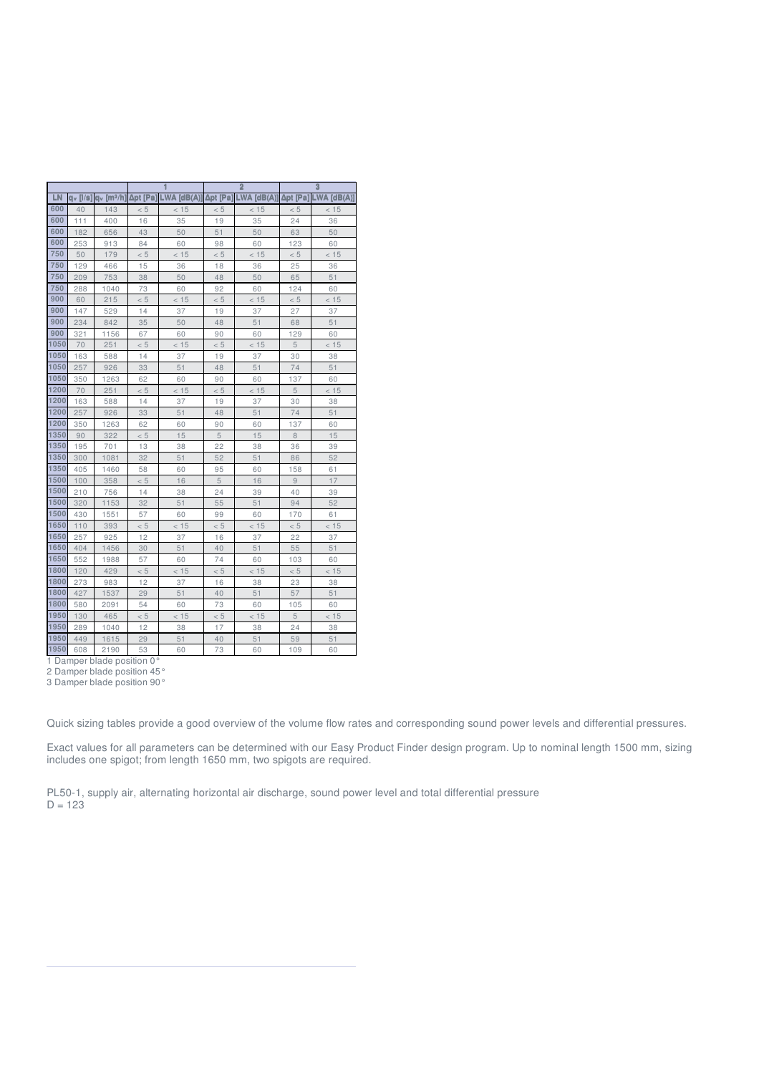|      |                      |                          |          |                   |          | $\overline{2}$ |                 | 3               |
|------|----------------------|--------------------------|----------|-------------------|----------|----------------|-----------------|-----------------|
| LN   | a <sub>v</sub> [i/s] | $av$ [m <sup>3</sup> /h] | Δpt [Pa] | <b>(A)Bb1 AW.</b> | Δpt [Pa] | $LWA$ [dB(A)]  | <b>Apt [Pa]</b> | $LWA$ $[dB(A)]$ |
| 600  | 40                   | 143                      | < 5      | < 15              | < 5      | < 15           | < 5             | < 15            |
| 600  | 111                  | 400                      | 16       | 35                | 19       | 35             | 24              | 36              |
| 600  | 182                  | 656                      | 43       | 50                | 51       | 50             | 63              | 50              |
| 600  | 253                  | 913                      | 84       | 60                | 98       | 60             | 123             | 60              |
| 750  | 50                   | 179                      | < 5      | < 15              | < 5      | < 15           | < 5             | < 15            |
| 750  | 129                  | 466                      | 15       | 36                | 18       | 36             | 25              | 36              |
| 750  | 209                  | 753                      | 38       | 50                | 48       | 50             | 65              | 51              |
| 750  | 288                  | 1040                     | 73       | 60                | 92       | 60             | 124             | 60              |
| 900  | 60                   | 215                      | < 5      | < 15              | < 5      | < 15           | < 5             | < 15            |
| 900  | 147                  | 529                      | 14       | 37                | 19       | 37             | 27              | 37              |
| 900  | 234                  | 842                      | 35       | 50                | 48       | 51             | 68              | 51              |
| 900  | 321                  | 1156                     | 67       | 60                | 90       | 60             | 129             | 60              |
| 1050 | 70                   | 251                      | < 5      | < 15              | < 5      | < 15           | 5               | < 15            |
| 1050 | 163                  | 588                      | 14       | 37                | 19       | 37             | 30              | 38              |
| 1050 | 257                  | 926                      | 33       | 51                | 48       | 51             | 74              | 51              |
| 1050 | 350                  | 1263                     | 62       | 60                | 90       | 60             | 137             | 60              |
| 1200 | 70                   | 251                      | < 5      | < 15              | < 5      | < 15           | 5               | < 15            |
| 1200 | 163                  | 588                      | 14       | 37                | 19       | 37             | 30              | 38              |
| 1200 | 257                  | 926                      | 33       | 51                | 48       | 51             | 74              | 51              |
| 1200 | 350                  | 1263                     | 62       | 60                | 90       | 60             | 137             | 60              |
| 1350 | 90                   | 322                      | < 5      | 15                | 5        | 15             | 8               | 15              |
| 1350 | 195                  | 701                      | 13       | 38                | 22       | 38             | 36              | 39              |
| 1350 | 300                  | 1081                     | 32       | 51                | 52       | 51             | 86              | 52              |
| 1350 | 405                  | 1460                     | 58       | 60                | 95       | 60             | 158             | 61              |
| 1500 | 100                  | 358                      | < 5      | 16                | 5        | 16             | 9               | 17              |
| 1500 | 210                  | 756                      | 14       | 38                | 24       | 39             | 40              | 39              |
| 1500 | 320                  | 1153                     | 32       | 51                | 55       | 51             | 94              | 52              |
| 1500 | 430                  | 1551                     | 57       | 60                | 99       | 60             | 170             | 61              |
| 1650 | 110                  | 393                      | < 5      | < 15              | < 5      | < 15           | < 5             | < 15            |
| 1650 | 257                  | 925                      | 12       | 37                | 16       | 37             | 22              | 37              |
| 1650 | 404                  | 1456                     | 30       | 51                | 40       | 51             | 55              | 51              |
| 1650 | 552                  | 1988                     | 57       | 60                | 74       | 60             | 103             | 60              |
| 1800 | 120                  | 429                      | < 5      | < 15              | < 5      | < 15           | < 5             | < 15            |
| 1800 | 273                  | 983                      | 12       | 37                | 16       | 38             | 23              | 38              |
| 1800 | 427                  | 1537                     | 29       | 51                | 40       | 51             | 57              | 51              |
| 1800 | 580                  | 2091                     | 54       | 60                | 73       | 60             | 105             | 60              |
| 1950 | 130                  | 465                      | < 5      | < 15              | < 5      | < 15           | 5               | < 15            |
| 1950 | 289                  | 1040                     | 12       | 38                | 17       | 38             | 24              | 38              |
| 1950 | 449                  | 1615                     | 29       | 51                | 40       | 51             | 59              | 51              |
| 1950 | 608                  | 2190                     | 53       | 60                | 73       | 60             | 109             | 60              |

1950 608 2190 53<br>1 Damper blade position 0°

Damper blade position 45°

Damper blade position 90°

Quick sizing tables provide a good overview of the volume flow rates and corresponding sound power levels and differential pressures.

Exact values for all parameters can be determined with our Easy Product Finder design program. Up to nominal length 1500 mm, sizing includes one spigot; from length 1650 mm, two spigots are required.

PL50-1, supply air, alternating horizontal air discharge, sound power level and total differential pressure  $D = 123$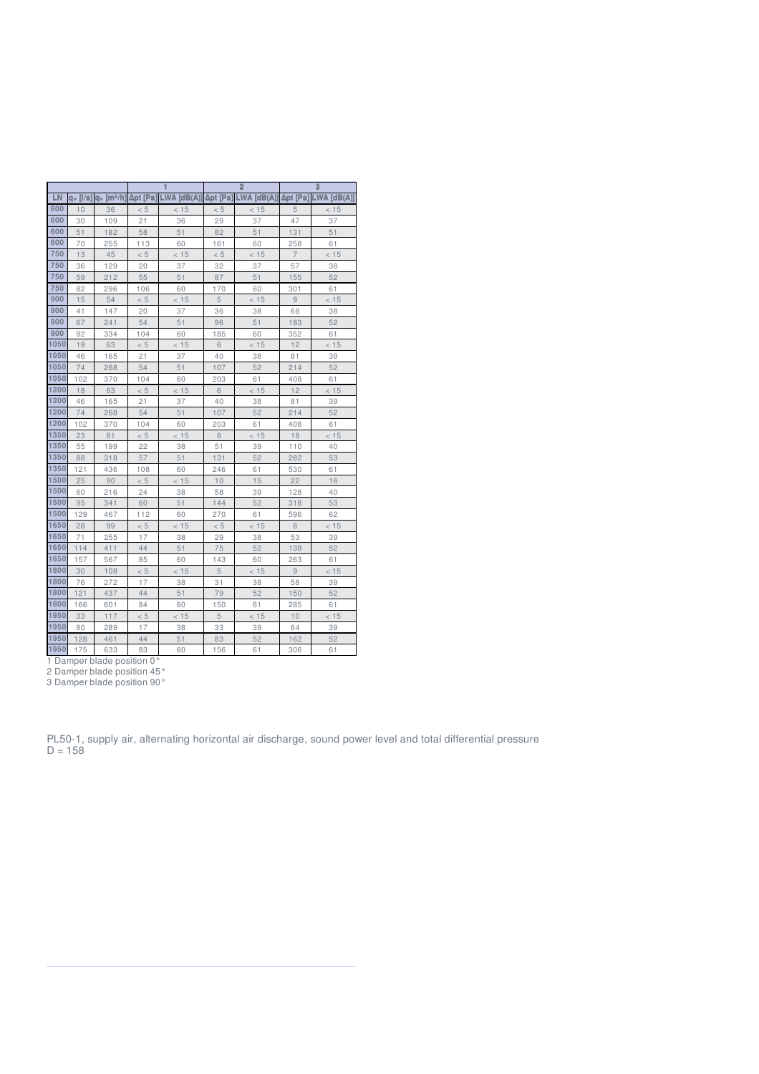|      |                |                      |          |             |          | $\overline{2}$ |                 | 3             |
|------|----------------|----------------------|----------|-------------|----------|----------------|-----------------|---------------|
| LN   | $a_v$ [ $/s$ ] | a <sub>v</sub> [mª/h | Δpt [Pa] | LWA [dB(A)] | Δpt [Pa] | $LWA$ [dB(A)]  | <b>Δpt</b> [Pa] | $LWA$ [dB(A)] |
| 600  | 10             | 36                   | < 5      | < 15        | < 5      | < 15           | 5               | < 15          |
| 600  | 30             | 109                  | 21       | 36          | 29       | 37             | 47              | 37            |
| 600  | 51             | 182                  | 58       | 51          | 82       | 51             | 131             | 51            |
| 600  | 70             | 255                  | 113      | 60          | 161      | 60             | 258             | 61            |
| 750  | 13             | 45                   | < 5      | < 15        | < 5      | < 15           | $\overline{7}$  | < 15          |
| 750  | 36             | 129                  | 20       | 37          | 32       | 37             | 57              | 38            |
| 750  | 59             | 212                  | 55       | 51          | 87       | 51             | 155             | 52            |
| 750  | 82             | 296                  | 106      | 60          | 170      | 60             | 301             | 61            |
| 900  | 15             | 54                   | < 5      | < 15        | 5        | < 15           | 9               | < 15          |
| 900  | 41             | 147                  | 20       | 37          | 36       | 38             | 68              | 38            |
| 900  | 67             | 241                  | 54       | 51          | 96       | 51             | 183             | 52            |
| 900  | 92             | 334                  | 104      | 60          | 185      | 60             | 352             | 61            |
| 1050 | 18             | 63                   | < 5      | < 15        | 6        | < 15           | 12              | < 15          |
| 1050 | 46             | 165                  | 21       | 37          | 40       | 38             | 81              | 39            |
| 1050 | 74             | 268                  | 54       | 51          | 107      | 52             | 214             | 52            |
| 1050 | 102            | 370                  | 104      | 60          | 203      | 61             | 408             | 61            |
| 1200 | 18             | 63                   | < 5      | < 15        | 6        | < 15           | 12              | < 15          |
| 1200 | 46             | 165                  | 21       | 37          | 40       | 38             | 81              | 39            |
| 1200 | 74             | 268                  | 54       | 51          | 107      | 52             | 214             | 52            |
| 1200 | 102            | 370                  | 104      | 60          | 203      | 61             | 408             | 61            |
| 1350 | 23             | 81                   | < 5      | < 15        | 8        | < 15           | 18              | < 15          |
| 1350 | 55             | 199                  | 22       | 38          | 51       | 39             | 110             | 40            |
| 1350 | 88             | 318                  | 57       | 51          | 131      | 52             | 282             | 53            |
| 1350 | 121            | 436                  | 108      | 60          | 246      | 61             | 530             | 61            |
| 1500 | 25             | 90                   | < 5      | < 15        | 10       | 15             | 22              | 16            |
| 1500 | 60             | 216                  | 24       | 38          | 58       | 39             | 128             | 40            |
| 1500 | 95             | 341                  | 60       | 51          | 144      | 52             | 318             | 53            |
| 1500 | 129            | 467                  | 112      | 60          | 270      | 61             | 596             | 62            |
| 1650 | 28             | 99                   | < 5      | < 15        | < 5      | < 15           | 8               | < 15          |
| 1650 | 71             | 255                  | 17       | 38          | 29       | 38             | 53              | 39            |
| 1650 | 114            | 411                  | 44       | 51          | 75       | 52             | 138             | 52            |
| 1650 | 157            | 567                  | 85       | 60          | 143      | 60             | 263             | 61            |
| 1800 | 30             | 108                  | < 5      | < 15        | 5        | < 15           | 9               | < 15          |
| 1800 | 76             | 272                  | 17       | 38          | 31       | 38             | 58              | 39            |
| 1800 | 121            | 437                  | 44       | 51          | 79       | 52             | 150             | 52            |
| 1800 | 166            | 601                  | 84       | 60          | 150      | 61             | 285             | 61            |
| 1950 | 33             | 117                  | < 5      | < 15        | 5        | < 15           | 10              | < 15          |
| 1950 | 80             | 289                  | 17       | 38          | 33       | 39             | 64              | 39            |
| 1950 | 128            | 461                  | 44       | 51          | 83       | 52             | 162             | 52            |
| 1950 | 175            | 633                  | 83       | 60          | 156      | 61             | 306             | 61            |

Damper blade position 0°

Damper blade position 45°

Damper blade position 90°

PL50-1, supply air, alternating horizontal air discharge, sound power level and total differential pressure  $D = 158$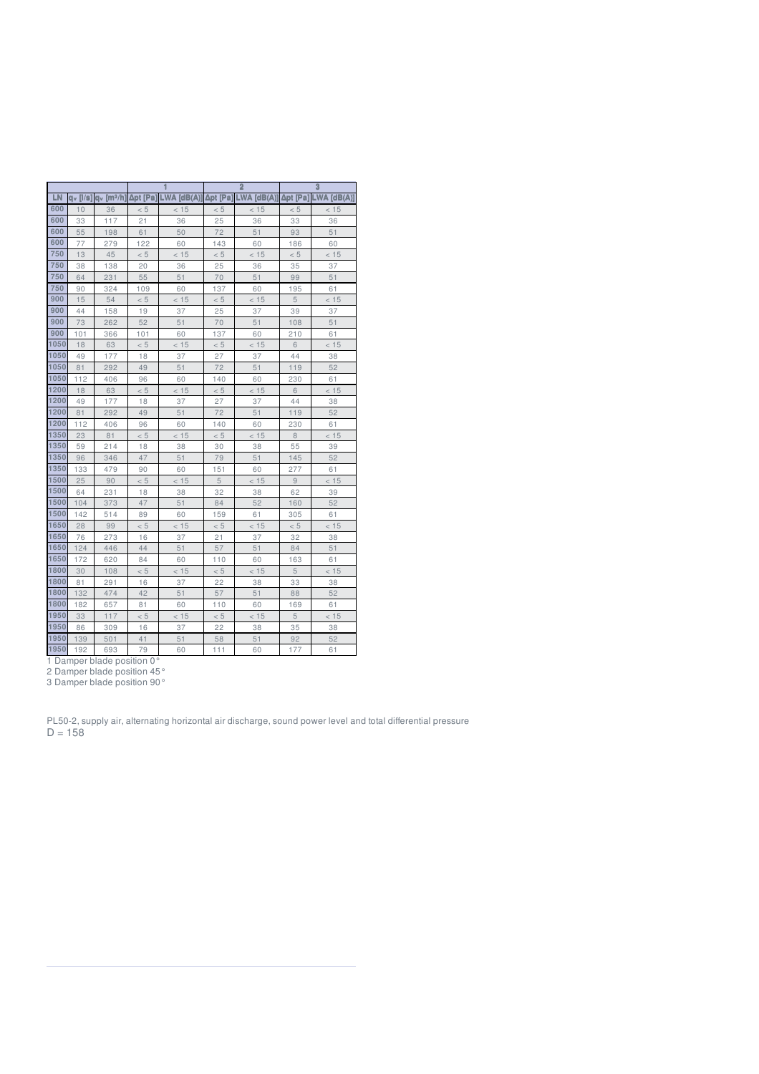|      |             |                      |          |             |                | $\overline{2}$ |          | 3             |
|------|-------------|----------------------|----------|-------------|----------------|----------------|----------|---------------|
| LN   | $a_v$ [l/s] | a <sub>v</sub> [mª/h | Δpt [Pa] | LWA [dB(A)] | <b>∆pt [Pa</b> | $LWA$ [dB(A)]  | Δpt [Pa] | $LWA$ [dB(A)] |
| 600  | 10          | 36                   | < 5      | < 15        | < 5            | < 15           | < 5      | < 15          |
| 600  | 33          | 117                  | 21       | 36          | 25             | 36             | 33       | 36            |
| 600  | 55          | 198                  | 61       | 50          | 72             | 51             | 93       | 51            |
| 600  | 77          | 279                  | 122      | 60          | 143            | 60             | 186      | 60            |
| 750  | 13          | 45                   | < 5      | < 15        | < 5            | < 15           | < 5      | < 15          |
| 750  | 38          | 138                  | 20       | 36          | 25             | 36             | 35       | 37            |
| 750  | 64          | 231                  | 55       | 51          | 70             | 51             | 99       | 51            |
| 750  | 90          | 324                  | 109      | 60          | 137            | 60             | 195      | 61            |
| 900  | 15          | 54                   | < 5      | < 15        | $< 5\,$        | < 15           | 5        | < 15          |
| 900  | 44          | 158                  | 19       | 37          | 25             | 37             | 39       | 37            |
| 900  | 73          | 262                  | 52       | 51          | 70             | 51             | 108      | 51            |
| 900  | 101         | 366                  | 101      | 60          | 137            | 60             | 210      | 61            |
| 1050 | 18          | 63                   | < 5      | < 15        | < 5            | < 15           | 6        | < 15          |
| 1050 | 49          | 177                  | 18       | 37          | 27             | 37             | 44       | 38            |
| 1050 | 81          | 292                  | 49       | 51          | 72             | 51             | 119      | 52            |
| 1050 | 112         | 406                  | 96       | 60          | 140            | 60             | 230      | 61            |
| 1200 | 18          | 63                   | < 5      | < 15        | < 5            | < 15           | 6        | < 15          |
| 1200 | 49          | 177                  | 18       | 37          | 27             | 37             | 44       | 38            |
| 1200 | 81          | 292                  | 49       | 51          | 72             | 51             | 119      | 52            |
| 1200 | 112         | 406                  | 96       | 60          | 140            | 60             | 230      | 61            |
| 1350 | 23          | 81                   | < 5      | < 15        | < 5            | < 15           | $\,8\,$  | < 15          |
| 1350 | 59          | 214                  | 18       | 38          | 30             | 38             | 55       | 39            |
| 1350 | 96          | 346                  | 47       | 51          | 79             | 51             | 145      | 52            |
| 1350 | 133         | 479                  | 90       | 60          | 151            | 60             | 277      | 61            |
| 1500 | 25          | 90                   | < 5      | < 15        | 5              | < 15           | 9        | < 15          |
| 1500 | 64          | 231                  | 18       | 38          | 32             | 38             | 62       | 39            |
| 1500 | 104         | 373                  | 47       | 51          | 84             | 52             | 160      | 52            |
| 1500 | 142         | 514                  | 89       | 60          | 159            | 61             | 305      | 61            |
| 1650 | 28          | 99                   | < 5      | < 15        | < 5            | < 15           | < 5      | < 15          |
| 1650 | 76          | 273                  | 16       | 37          | 21             | 37             | 32       | 38            |
| 1650 | 124         | 446                  | 44       | 51          | 57             | 51             | 84       | 51            |
| 1650 | 172         | 620                  | 84       | 60          | 110            | 60             | 163      | 61            |
| 1800 | 30          | 108                  | < 5      | < 15        | < 5            | < 15           | 5        | < 15          |
| 1800 | 81          | 291                  | 16       | 37          | 22             | 38             | 33       | 38            |
| 1800 | 132         | 474                  | 42       | 51          | 57             | 51             | 88       | 52            |
| 1800 | 182         | 657                  | 81       | 60          | 110            | 60             | 169      | 61            |
| 1950 | 33          | 117                  | < 5      | < 15        | < 5            | < 15           | 5        | < 15          |
| 1950 | 86          | 309                  | 16       | 37          | 22             | 38             | 35       | 38            |
| 1950 | 139         | 501                  | 41       | 51          | 58             | 51             | 92       | 52            |
| 1950 | 192         | 693                  | 79       | 60          | 111            | 60             | 177      | 61            |

Damper blade position 0°

Damper blade position 45°

Damper blade position 90°

PL50-2, supply air, alternating horizontal air discharge, sound power level and total differential pressure  $D = 158$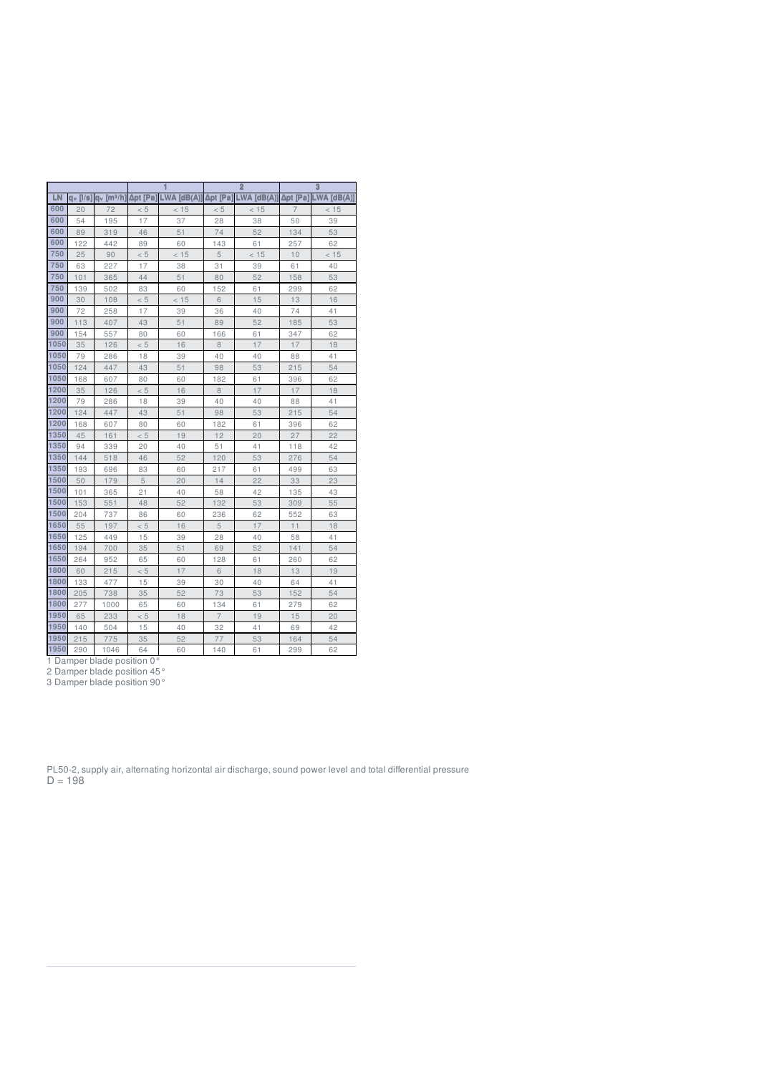|      |                |                       |          |             |                | $\overline{2}$ |                | $\overline{3}$ |
|------|----------------|-----------------------|----------|-------------|----------------|----------------|----------------|----------------|
| LN   | $a_v$ [ $/s$ ] | q <sub>v</sub> [mª/h] | Δpt [Pa] | LWA [dB(A)] | Δpt [Pa]       | LWA [dB(A)]    | Δpt [Pa]       | LWA [dB(A)]    |
| 600  | 20             | 72                    | < 5      | < 15        | < 5            | < 15           | $\overline{7}$ | < 15           |
| 600  | 54             | 195                   | 17       | 37          | 28             | 38             | 50             | 39             |
| 600  | 89             | 319                   | 46       | 51          | 74             | 52             | 134            | 53             |
| 600  | 122            | 442                   | 89       | 60          | 143            | 61             | 257            | 62             |
| 750  | 25             | 90                    | < 5      | < 15        | 5              | < 15           | 10             | < 15           |
| 750  | 63             | 227                   | 17       | 38          | 31             | 39             | 61             | 40             |
| 750  | 101            | 365                   | 44       | 51          | 80             | 52             | 158            | 53             |
| 750  | 139            | 502                   | 83       | 60          | 152            | 61             | 299            | 62             |
| 900  | 30             | 108                   | < 5      | < 15        | 6              | 15             | 13             | 16             |
| 900  | 72             | 258                   | 17       | 39          | 36             | 40             | 74             | 41             |
| 900  | 113            | 407                   | 43       | 51          | 89             | 52             | 185            | 53             |
| 900  | 154            | 557                   | 80       | 60          | 166            | 61             | 347            | 62             |
| 1050 | 35             | 126                   | < 5      | 16          | 8              | 17             | 17             | 18             |
| 1050 | 79             | 286                   | 18       | 39          | 40             | 40             | 88             | 41             |
| 1050 | 124            | 447                   | 43       | 51          | 98             | 53             | 215            | 54             |
| 1050 | 168            | 607                   | 80       | 60          | 182            | 61             | 396            | 62             |
| 1200 | 35             | 126                   | < 5      | 16          | 8              | 17             | 17             | 18             |
| 1200 | 79             | 286                   | 18       | 39          | 40             | 40             | 88             | 41             |
| 1200 | 124            | 447                   | 43       | 51          | 98             | 53             | 215            | 54             |
| 1200 | 168            | 607                   | 80       | 60          | 182            | 61             | 396            | 62             |
| 1350 | 45             | 161                   | < 5      | 19          | 12             | 20             | 27             | 22             |
| 1350 | 94             | 339                   | 20       | 40          | 51             | 41             | 118            | 42             |
| 1350 | 144            | 518                   | 46       | 52          | 120            | 53             | 276            | 54             |
| 1350 | 193            | 696                   | 83       | 60          | 217            | 61             | 499            | 63             |
| 1500 | 50             | 179                   | 5        | 20          | 14             | 22             | 33             | 23             |
| 1500 | 101            | 365                   | 21       | 40          | 58             | 42             | 135            | 43             |
| 1500 | 153            | 551                   | 48       | 52          | 132            | 53             | 309            | 55             |
| 1500 | 204            | 737                   | 86       | 60          | 236            | 62             | 552            | 63             |
| 1650 | 55             | 197                   | < 5      | 16          | 5              | 17             | 11             | 18             |
| 1650 | 125            | 449                   | 15       | 39          | 28             | 40             | 58             | 41             |
| 1650 | 194            | 700                   | 35       | 51          | 69             | 52             | 141            | 54             |
| 1650 | 264            | 952                   | 65       | 60          | 128            | 61             | 260            | 62             |
| 1800 | 60             | 215                   | < 5      | 17          | 6              | 18             | 13             | 19             |
| 1800 | 133            | 477                   | 15       | 39          | 30             | 40             | 64             | 41             |
| 1800 | 205            | 738                   | 35       | 52          | 73             | 53             | 152            | 54             |
| 1800 | 277            | 1000                  | 65       | 60          | 134            | 61             | 279            | 62             |
| 1950 | 65             | 233                   | < 5      | 18          | $\overline{7}$ | 19             | 15             | 20             |
| 1950 | 140            | 504                   | 15       | 40          | 32             | 41             | 69             | 42             |
| 1950 | 215            | 775                   | 35       | 52          | 77             | 53             | 164            | 54             |

290 1046 64 60 140 61 299 62

Damper blade position 0°

Damper blade position 45°

Damper blade position 90°

PL50-2, supply air, alternating horizontal air discharge, sound power level and total differential pressure  $D = 198$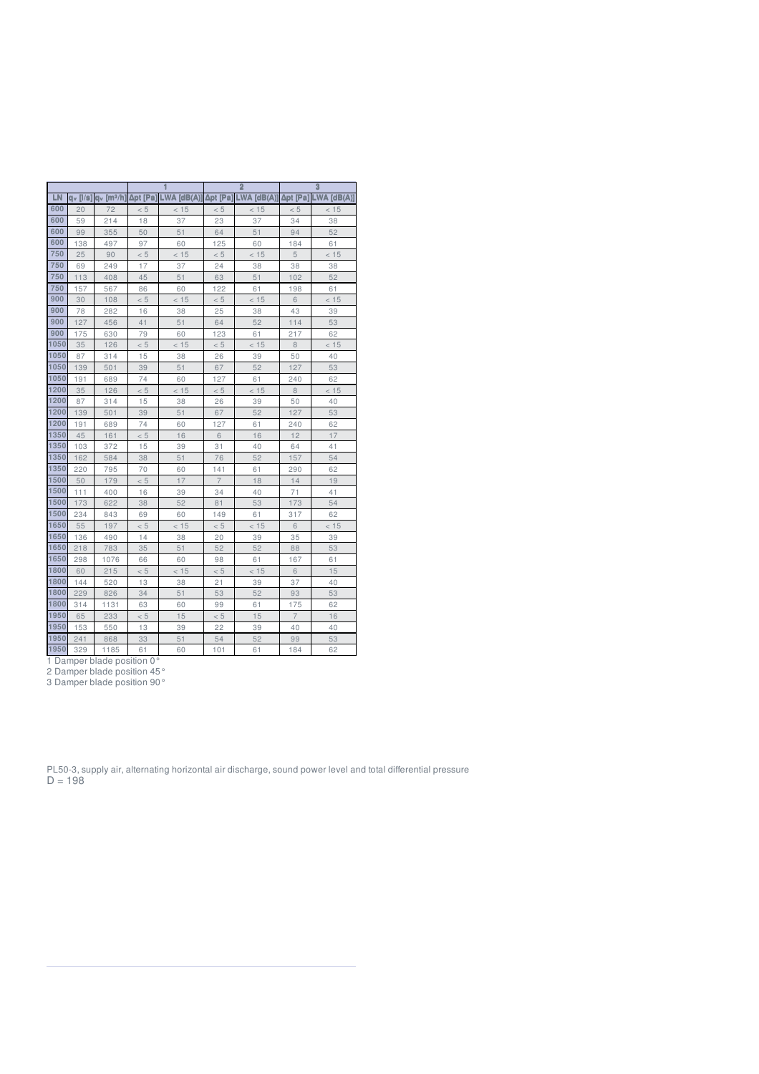|      |                |                          |          |             |                         | $\overline{2}$ |          | $\overline{3}$ |  |  |
|------|----------------|--------------------------|----------|-------------|-------------------------|----------------|----------|----------------|--|--|
| LN   | $a_v$ [ $/s$ ] | $av$ [m <sup>3</sup> /h] | Δpt [Pa] | LWA [dB(A)] | LWA [dB(A)]<br>Δpt [Pa] |                | Δpt [Pa] | LWA [dB(A)]    |  |  |
| 600  | 20             | 72                       | < 5      | < 15        | < 5                     | < 15           | < 5      | < 15           |  |  |
| 600  | 59             | 214                      | 18       | 37          | 23                      | 37             | 34       | 38             |  |  |
| 600  | 99             | 355                      | 50       | 51          | 64                      | 51             | 94       | 52             |  |  |
| 600  | 138            | 497                      | 97       | 60          | 125                     | 60             | 184      | 61             |  |  |
| 750  | 25             | 90                       | < 5      | < 15        | < 5                     | < 15           | 5        | < 15           |  |  |
| 750  | 69             | 249                      | 17       | 37          | 24                      | 38             | 38       | 38             |  |  |
| 750  | 113            | 408                      | 45       | 51          | 63                      | 51             | 102      | 52             |  |  |
| 750  | 157            | 567                      | 86       | 60          | 122                     | 61             | 198      | 61             |  |  |
| 900  | 30             | 108                      | < 5      | < 15        | < 5                     | < 15           | 6        | < 15           |  |  |
| 900  | 78             | 282                      | 16       | 38          | 25                      | 38             | 43       | 39             |  |  |
| 900  | 127            | 456                      | 41       | 51          | 64                      | 52             | 114      | 53             |  |  |
| 900  | 175            | 630                      | 79       | 60          | 123                     | 61             | 217      | 62             |  |  |
| 1050 | 35             | 126                      | < 5      | < 15        | < 5                     | < 15           | 8        | < 15           |  |  |
| 1050 | 87             | 314                      | 15       | 38          | 26                      | 39             | 50       | 40             |  |  |
| 1050 | 139            | 501                      | 39       | 51          | 67                      | 52             | 127      | 53             |  |  |
| 1050 | 191            | 689                      | 74       | 60          | 127                     | 61             | 240      | 62             |  |  |
| 1200 | 35             | 126                      | < 5      | < 15        | < 5                     | < 15           | 8        | < 15           |  |  |
| 1200 | 87             | 314                      | 15       | 38          | 26                      | 39             | 50       | 40             |  |  |
| 1200 | 139            | 501                      | 39       | 51          | 67                      | 52             | 127      | 53             |  |  |
| 1200 | 191            | 689                      | 74       | 60          | 127                     | 61             | 240      | 62             |  |  |
| 1350 | 45             | 161                      | < 5      | 16          | 6                       | 16             | 12       | 17             |  |  |
| 1350 | 103            | 372                      | 15       | 39          | 31                      | 40             | 64       | 41             |  |  |
| 1350 | 162            | 584                      | 38       | 51          | 76                      | 52             | 157      | 54             |  |  |
| 1350 | 220            | 795                      | 70       | 60          | 141                     | 61             | 290      | 62             |  |  |
| 1500 | 50             | 179                      | < 5      | 17          | $\overline{7}$          | 18             | 14       | 19             |  |  |
| 1500 | 111            | 400                      | 16       | 39          | 34                      | 40             | 71       | 41             |  |  |
| 1500 | 173            | 622                      | 38       | 52          | 81                      | 53             | 173      | 54             |  |  |
| 1500 | 234            | 843                      | 69       | 60          | 149                     | 61             | 317      | 62             |  |  |
| 1650 | 55             | 197                      | < 5      | < 15        | < 5                     | < 15           | 6        | < 15           |  |  |
| 1650 | 136            | 490                      | 14       | 38          | 20                      | 39             | 35       | 39             |  |  |
| 1650 | 218            | 783                      | 35       | 51          | 52                      | 52             | 88       | 53             |  |  |
| 1650 | 298            | 1076                     | 66       | 60          | 98                      | 61             | 167      | 61             |  |  |
| 1800 | 60             | 215                      | < 5      | < 15        | < 5                     | < 15           | 6        | 15             |  |  |
| 1800 | 144            | 520                      | 13       | 38          | 21                      | 39             | 37       | 40             |  |  |
| 1800 | 229            | 826                      | 34       | 51          | 53                      | 52             | 93       | 53             |  |  |
| 1800 | 314            | 1131                     | 63       | 60          | 99                      | 61             |          | 62             |  |  |
| 1950 | 65             | 233                      | < 5      | 15          | < 5                     | 15             |          | 16             |  |  |
| 1950 | 153            | 550                      | 13       | 39          | 22                      | 39             | 40       | 40             |  |  |
| 1950 | 241            | 868                      | 33       | 51          | 54                      | 52             | 99       | 53             |  |  |

329 1185 61 60 101 61 184 62

Damper blade position 0°

Damper blade position 45°

Damper blade position 90°

PL50-3, supply air, alternating horizontal air discharge, sound power level and total differential pressure  $D = 198$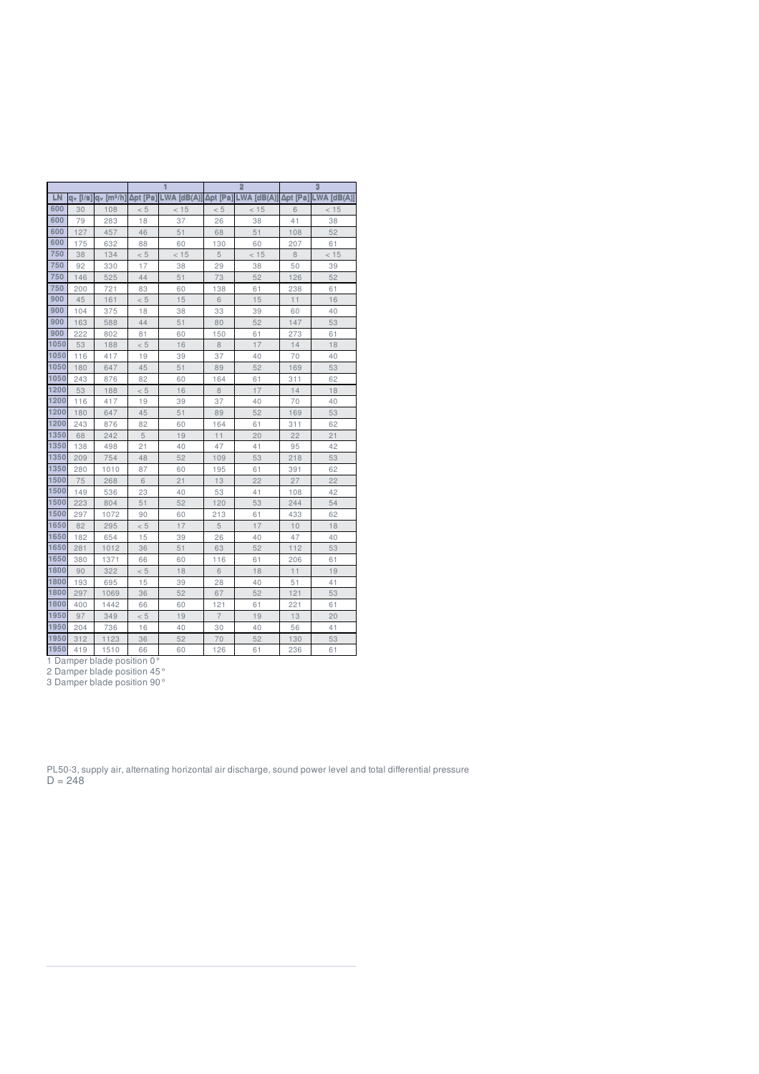|      |          |                       |          |             |                | $\overline{2}$ |          | $\overline{3}$ |  |  |
|------|----------|-----------------------|----------|-------------|----------------|----------------|----------|----------------|--|--|
| LN   | dv [l/s] | q <sub>v</sub> [mª/h] | Δpt [Pa] | LWA [dB(A)] | Δpt [Pa]       | LWA [dB(A)]    | Δpt [Pa] | $LWA$ [dB(A)]  |  |  |
| 600  | 30       | 108                   | < 5      | < 15        | < 5            | < 15           | 6        | < 15           |  |  |
| 600  | 79       | 283                   | 18       | 37          | 26             | 38             | 41       | 38             |  |  |
| 600  | 127      | 457                   | 46       | 51          | 68             | 51             | 108      | 52             |  |  |
| 600  | 175      | 632                   | 88       | 60          | 130            | 60             | 207      | 61             |  |  |
| 750  | 38       | 134                   | < 5      | < 15        | 5              | < 15           | 8        | < 15           |  |  |
| 750  | 92       | 330                   | 17       | 38          | 29             | 38             | 50       | 39             |  |  |
| 750  | 146      | 525                   | 44       | 51          | 73             | 52             | 126      | 52             |  |  |
| 750  | 200      | 721                   | 83       | 60          | 138            | 61             | 238      | 61             |  |  |
| 900  | 45       | 161                   | < 5      | 15          | 6              | 15             | 11       | 16             |  |  |
| 900  | 104      | 375                   | 18       | 38          | 33             | 39             | 60       | 40             |  |  |
| 900  | 163      | 588                   | 44       | 51          | 80             | 52             | 147      | 53             |  |  |
| 900  | 222      | 802                   | 81       | 60          | 150            | 61             | 273      | 61             |  |  |
| 1050 | 53       | 188                   | < 5      | 16          | 8              | 17             | 14       | 18             |  |  |
| 1050 | 116      | 417                   | 19       | 39          | 37             | 40             | 70       | 40             |  |  |
| 1050 | 180      | 647                   | 45       | 51          | 89             | 52             | 169      | 53             |  |  |
| 1050 | 243      | 876                   | 82       | 60          | 164            | 61             | 311      | 62             |  |  |
| 1200 | 53       | 188                   | < 5      | 16          | 8              | 17             | 14       | 18             |  |  |
| 1200 | 116      | 417                   | 19       | 39          | 37             | 40             | 70       | 40             |  |  |
| 1200 | 180      | 647                   | 45       | 51          | 89             | 52             | 169      | 53             |  |  |
| 1200 | 243      | 876                   | 82       | 60          | 164            | 61             | 311      | 62             |  |  |
| 1350 | 68       | 242                   | 5        | 19          | 11             | 20             | 22       | 21             |  |  |
| 1350 | 138      | 498                   | 21       | 40          | 47             | 41             | 95       | 42             |  |  |
| 1350 | 209      | 754                   | 48       | 52          | 109            | 53             | 218      | 53             |  |  |
| 1350 | 280      | 1010                  | 87       | 60          | 195            | 61             | 391      | 62             |  |  |
| 1500 | 75       | 268                   | 6        | 21          | 13             | 22             | 27       | 22             |  |  |
| 1500 | 149      | 536                   | 23       | 40          | 53             | 41             | 108      | 42             |  |  |
| 1500 | 223      | 804                   | 51       | 52          | 120            | 53             | 244      | 54             |  |  |
| 1500 | 297      | 1072                  | 90       | 60          | 213            | 61             | 433      | 62             |  |  |
| 1650 | 82       | 295                   | < 5      | 17          | 5              | 17             | 10       | 18             |  |  |
| 1650 | 182      | 654                   | 15       | 39          | 26             | 40             | 47       | 40             |  |  |
| 1650 | 281      | 1012                  | 36       | 51          | 63             | 52             | 112      | 53             |  |  |
| 1650 | 380      | 1371                  | 66       | 60          | 116            | 61             | 206      | 61             |  |  |
| 1800 | 90       | 322                   | < 5      | 18          | 6              | 18             | 11       | 19             |  |  |
| 1800 | 193      | 695                   | 15       | 39          | 28             | 40             | 51       | 41             |  |  |
| 1800 | 297      | 1069                  | 36       | 52          | 67             | 52             | 121      | 53             |  |  |
| 1800 | 400      | 1442                  | 66       | 60          | 121            | 61             |          | 61             |  |  |
| 1950 | 97       | 349                   | < 5      | 19          | $\overline{7}$ | 19             |          | 20             |  |  |
| 1950 | 204      | 736                   | 16       | 40          | 30             | 40             | 56       | 41             |  |  |
| 1950 | 312      | 1123                  | 36       | 52          | 70             | 52             | 130      | 53             |  |  |

419 1510 66 60 126 61 236 61

Damper blade position 0°

Damper blade position 45°

Damper blade position 90°

PL50-3, supply air, alternating horizontal air discharge, sound power level and total differential pressure  $D = 248$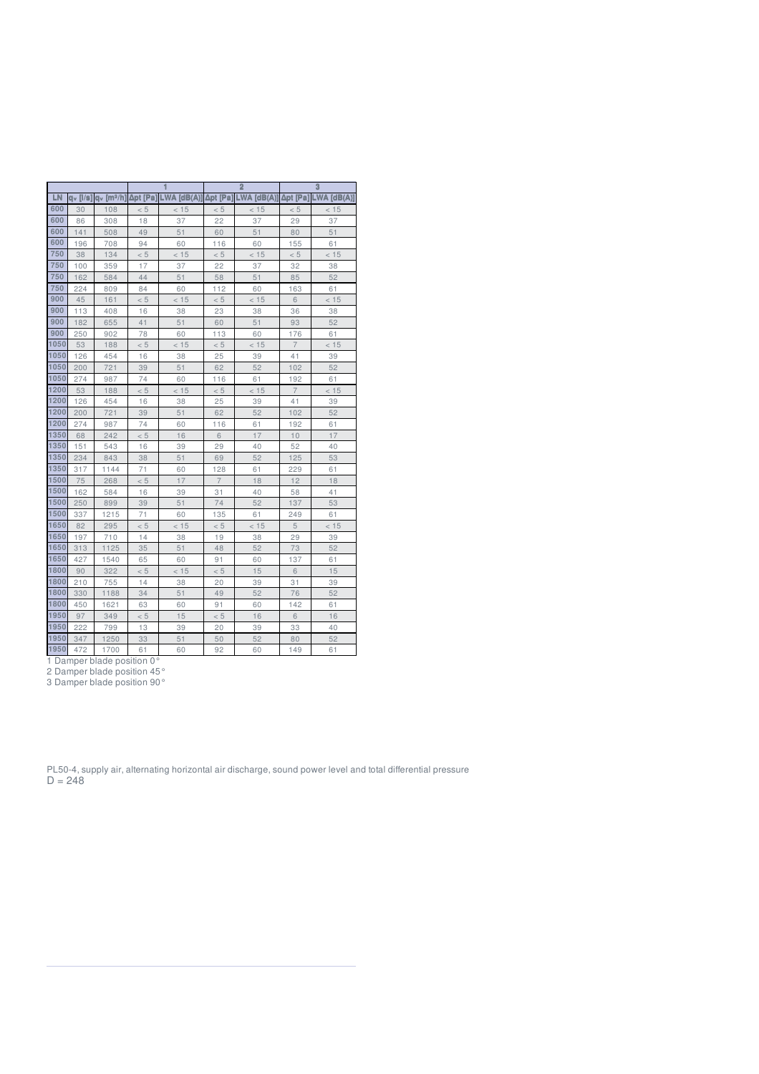|      |                        |                       |          |             |                         | $\overline{2}$ |                | $\overline{3}$ |  |  |
|------|------------------------|-----------------------|----------|-------------|-------------------------|----------------|----------------|----------------|--|--|
| LN   | $dv$ [ $ /\mathbf{s} $ | q <sub>v</sub> [mª/h] | Δpt [Pa] | LWA [dB(A)] | LWA [dB(A)]<br>Δpt [Pa] |                | Δpt [Pa]       | $LWA$ [dB(A)]  |  |  |
| 600  | 30                     | 108                   | < 5      | < 15        | < 5                     | < 15           | < 5            | < 15           |  |  |
| 600  | 86                     | 308                   | 18       | 37          | 22                      | 37             | 29             | 37             |  |  |
| 600  | 141                    | 508                   | 49       | 51          | 60                      | 51             | 80             | 51             |  |  |
| 600  | 196                    | 708                   | 94       | 60          | 116                     | 60             | 155            | 61             |  |  |
| 750  | 38                     | 134                   | < 5      | < 15        | < 5                     | < 15           | < 5            | < 15           |  |  |
| 750  | 100                    | 359                   | 17       | 37          | 22                      | 37             | 32             | 38             |  |  |
| 750  | 162                    | 584                   | 44       | 51          | 58                      | 51             | 85             | 52             |  |  |
| 750  | 224                    | 809                   | 84       | 60          | 112                     | 60             | 163            | 61             |  |  |
| 900  | 45                     | 161                   | < 5      | < 15        | < 5                     | < 15           | 6              | < 15           |  |  |
| 900  | 113                    | 408                   | 16       | 38          | 23                      | 38             | 36             | 38             |  |  |
| 900  | 182                    | 655                   | 41       | 51          | 60                      | 51             | 93             | 52             |  |  |
| 900  | 250                    | 902                   | 78       | 60          | 113                     | 60             | 176            | 61             |  |  |
| 1050 | 53                     | 188                   | < 5      | < 15        | < 5                     | < 15           | $\overline{7}$ | < 15           |  |  |
| 1050 | 126                    | 454                   | 16       | 38          | 25                      | 39             | 41             | 39             |  |  |
| 1050 | 200                    | 721                   | 39       | 51          | 62                      | 52             | 102            | 52             |  |  |
| 1050 | 274                    | 987                   | 74       | 60          | 116                     | 61             | 192            | 61             |  |  |
| 1200 | 53                     | 188                   | < 5      | < 15        | < 5                     | < 15           | $\overline{7}$ | < 15           |  |  |
| 1200 | 126                    | 454                   | 16       | 38          | 25                      | 39             | 41             | 39             |  |  |
| 1200 | 200                    | 721                   | 39       | 51          | 62                      | 52             | 102            | 52             |  |  |
| 1200 | 274                    | 987                   | 74       | 60          | 116                     | 61             | 192            | 61             |  |  |
| 1350 | 68                     | 242                   | < 5      | 16          | 6                       | 17             | 10             | 17             |  |  |
| 1350 | 151                    | 543                   | 16       | 39          | 29                      | 40             | 52             | 40             |  |  |
| 1350 | 234                    | 843                   | 38       | 51          | 69                      | 52             | 125            | 53             |  |  |
| 1350 | 317                    | 1144                  | 71       | 60          | 128                     | 61             | 229            | 61             |  |  |
| 1500 | 75                     | 268                   | < 5      | 17          | $\overline{7}$          | 18             | 12             | 18             |  |  |
| 1500 | 162                    | 584                   | 16       | 39          | 31                      | 40             | 58             | 41             |  |  |
| 1500 | 250                    | 899                   | 39       | 51          | 74                      | 52             | 137            | 53             |  |  |
| 1500 | 337                    | 1215                  | 71       | 60          | 135                     | 61             | 249            | 61             |  |  |
| 1650 | 82                     | 295                   | < 5      | < 15        | < 5                     | < 15           | 5              | < 15           |  |  |
| 1650 | 197                    | 710                   | 14       | 38          | 19                      | 38             | 29             | 39             |  |  |
| 1650 | 313                    | 1125                  | 35       | 51          | 48                      | 52             | 73             | 52             |  |  |
| 1650 | 427                    | 1540                  | 65       | 60          | 91                      | 60             | 137            | 61             |  |  |
| 1800 | 90                     | 322                   | < 5      | < 15        | < 5                     | 15             | 6              | 15             |  |  |
| 1800 | 210                    | 755                   | 14       | 38          | 20                      | 39             | 31             | 39             |  |  |
| 1800 | 330                    | 1188                  | 34       | 51          | 49                      | 52             | 76             | 52             |  |  |
| 1800 | 450                    | 1621                  | 63       | 60          | 91                      | 60             | 142            | 61             |  |  |
| 1950 | 97                     | 349                   | < 5      | 15          | < 5                     | 16             | 6              | 16             |  |  |
| 1950 | 222                    | 799                   | 13       | 39          | 20                      | 39             | 33             | 40             |  |  |
| 1950 | 347                    | 1250                  | 33       | 51          | 50                      | 52             | 80             | 52             |  |  |

472 1700 61 60 92 60 149 61

Damper blade position 0°

Damper blade position 45°

Damper blade position 90°

PL50-4, supply air, alternating horizontal air discharge, sound power level and total differential pressure  $D = 248$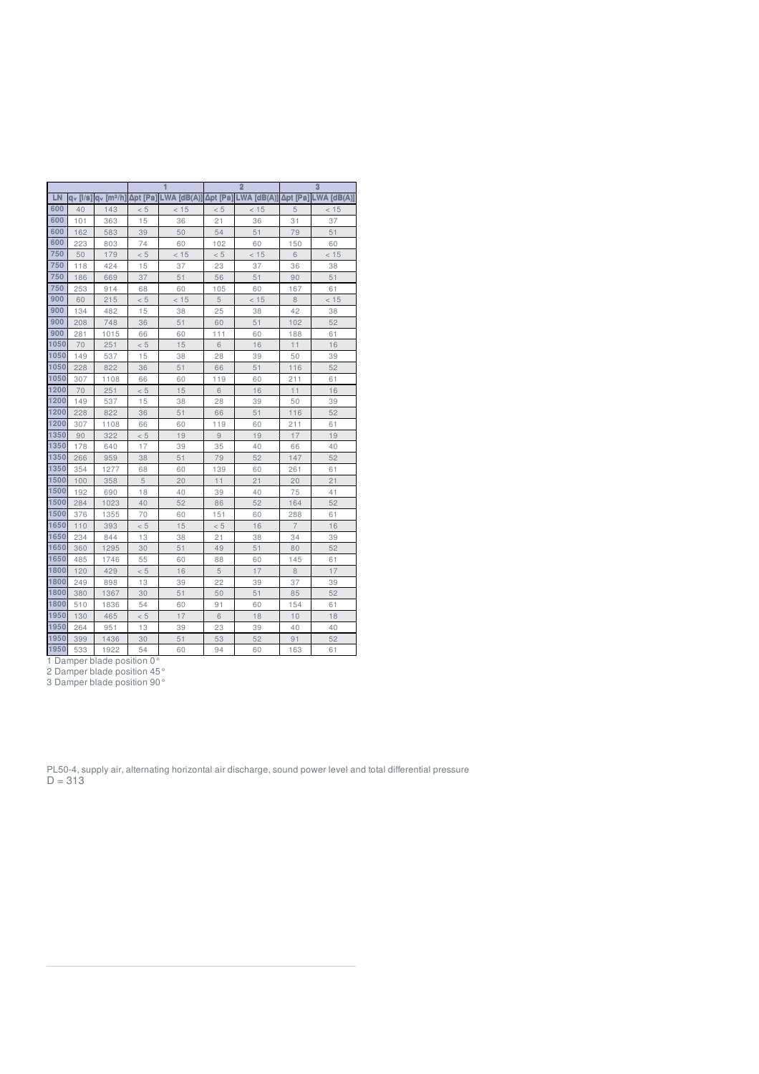|      |                |                       |          |             |          | $\overline{2}$ |                | $\overline{3}$  |  |  |
|------|----------------|-----------------------|----------|-------------|----------|----------------|----------------|-----------------|--|--|
| LN   | $a_v$ [ $/s$ ] | q <sub>v</sub> [mª/h] | Δpt [Pa] | LWA [dB(A)] | Δpt [Pa] | LWA [dB(A)]    | Δpt [Pa]       | $LWA$ $[dB(A)]$ |  |  |
| 600  | 40             | 143                   | < 5      | < 15        | < 5      | < 15           | 5              | < 15            |  |  |
| 600  | 101            | 363                   | 15       | 36          | 21       | 36             | 31             | 37              |  |  |
| 600  | 162            | 583                   | 39       | 50          | 54       | 51             | 79             | 51              |  |  |
| 600  | 223            | 803                   | 74       | 60          | 102      | 60             | 150            | 60              |  |  |
| 750  | 50             | 179                   | < 5      | < 15        | < 5      | < 15           | 6              | < 15            |  |  |
| 750  | 118            | 424                   | 15       | 37          | 23       | 37             | 36             | 38              |  |  |
| 750  | 186            | 669                   | 37       | 51          | 56       | 51             | 90             | 51              |  |  |
| 750  | 253            | 914                   | 68       | 60          | 105      | 60             | 167            | 61              |  |  |
| 900  | 60             | 215                   | < 5      | < 15        | 5        | < 15           | 8              | < 15            |  |  |
| 900  | 134            | 482                   | 15       | 38          | 25       | 38             | 42             | 38              |  |  |
| 900  | 208            | 748                   | 36       | 51          | 60       | 51             | 102            | 52              |  |  |
| 900  | 281            | 1015                  | 66       | 60          | 111      | 60             | 188            | 61              |  |  |
| 1050 | 70             | 251                   | < 5      | 15          | 6        | 16             | 11             | 16              |  |  |
| 1050 | 149            | 537                   | 15       | 38          | 28       | 39             | 50             | 39              |  |  |
| 1050 | 228            | 822                   | 36       | 51          | 66       | 51             | 116            | 52              |  |  |
| 1050 | 307            | 1108                  | 66       | 60          | 119      | 60             | 211            | 61              |  |  |
| 1200 | 70             | 251                   | < 5      | 15          | 6        | 16             | 11             | 16              |  |  |
| 1200 | 149            | 537                   | 15       | 38          | 28       | 39             | 50             | 39              |  |  |
| 1200 | 228            | 822                   | 36       | 51          | 66       | 51             | 116            | 52              |  |  |
| 1200 | 307            | 1108                  | 66       | 60          | 119      | 60             | 211            | 61              |  |  |
| 1350 | 90             | 322                   | < 5      | 19          | 9        | 19             | 17             | 19              |  |  |
| 1350 | 178            | 640                   | 17       | 39          | 35       | 40             | 66             | 40              |  |  |
| 1350 | 266            | 959                   | 38       | 51          | 79       | 52             | 147            | 52              |  |  |
| 1350 | 354            | 1277                  | 68       | 60          | 139      | 60             | 261            | 61              |  |  |
| 1500 | 100            | 358                   | 5        | 20          | 11       | 21             | 20             | 21              |  |  |
| 1500 | 192            | 690                   | 18       | 40          | 39       | 40             | 75             | 41              |  |  |
| 1500 | 284            | 1023                  | 40       | 52          | 86       | 52             | 164            | 52              |  |  |
| 1500 | 376            | 1355                  | 70       | 60          | 151      | 60             | 288            | 61              |  |  |
| 1650 | 110            | 393                   | < 5      | 15          | < 5      | 16             | $\overline{7}$ | 16              |  |  |
| 1650 | 234            | 844                   | 13       | 38          | 21       | 38             | 34             | 39              |  |  |
| 1650 | 360            | 1295                  | 30       | 51          | 49       | 51             | 80             | 52              |  |  |
| 1650 | 485            | 1746                  | 55       | 60          | 88       | 60             | 145            | 61              |  |  |
| 1800 | 120            | 429                   | < 5      | 16          | 5        | 17             | 8              | 17              |  |  |
| 1800 | 249            | 898                   | 13       | 39          | 22       | 39             | 37             | 39              |  |  |
| 1800 | 380            | 1367                  | 30       | 51          | 50       | 51             | 85<br>154      | 52              |  |  |
| 1800 | 510            | 1836                  | 54       | 60          | 91       | 60             |                | 61              |  |  |
| 1950 | 130            | 465                   | < 5      | 17          | 6        | 18             |                | 18              |  |  |
| 1950 | 264            | 951                   | 13       | 39          | 23       | 39             | 40             | 40              |  |  |
| 1950 | 399            | 1436                  | 30       | 51          | 53       | 52             | 91             | 52              |  |  |

533 1922 54 60 94 60 163 61

Damper blade position 0°

Damper blade position 45°

Damper blade position 90°

PL50-4, supply air, alternating horizontal air discharge, sound power level and total differential pressure  $D = 313$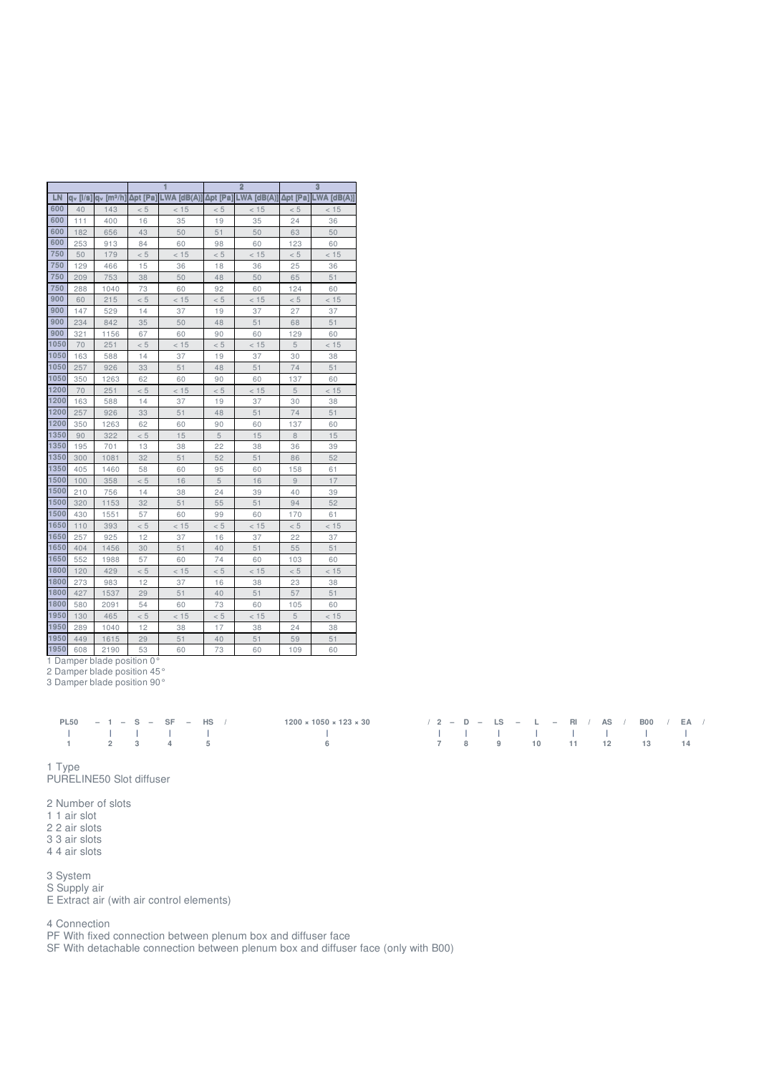|      |                |                       |          |               |                           | $\overline{2}$ |          | 3          |  |  |
|------|----------------|-----------------------|----------|---------------|---------------------------|----------------|----------|------------|--|--|
| LN   | $Q_V$ [ $ $ /s | a <sub>v</sub> [mª/h] | Δpt [Pa] | $LWA$ [dB(A)] | $LWA$ [dB(A)]<br>Δpt [Pa] |                | Δpt [Pa] | LWA [dB(A) |  |  |
| 600  | 40             | 143                   | < 5      | < 15          | < 5                       | < 15           | < 5      | < 15       |  |  |
| 600  | 111            | 400                   | 16       | 35            | 19                        | 35             | 24       | 36         |  |  |
| 600  | 182            | 656                   | 43       | 50            | 51                        | 50             | 63       | 50         |  |  |
| 600  | 253            | 913                   | 84       | 60            | 98                        | 60             | 123      | 60         |  |  |
| 750  | 50             | 179                   | < 5      | < 15          | < 5                       | < 15           | < 5      | < 15       |  |  |
| 750  | 129            | 466                   | 15       | 36            | 18                        | 36             | 25       | 36         |  |  |
| 750  | 209            | 753                   | 38       | 50            | 48                        | 50             | 65       | 51         |  |  |
| 750  | 288            | 1040                  | 73       | 60            | 92                        | 60             | 124      | 60         |  |  |
| 900  | 60             | 215                   | < 5      | < 15          | < 5                       | < 15           | < 5      | < 15       |  |  |
| 900  | 147            | 529                   | 14       | 37            | 19                        | 37             | 27       | 37         |  |  |
| 900  | 234            | 842                   | 35       | 50            | 48                        | 51             | 68       | 51         |  |  |
| 900  | 321            | 1156                  | 67       | 60            | 90                        | 60             | 129      | 60         |  |  |
| 1050 | 70             | 251                   | < 5      | < 15          | < 5                       | < 15           | 5        | < 15       |  |  |
| 1050 | 163            | 588                   | 14       | 37            | 19                        | 37             | 30       | 38         |  |  |
| 1050 | 257            | 926                   | 33       | 51            | 48                        | 51             | 74       | 51         |  |  |
| 1050 | 350            | 1263                  | 62       | 60            | 90                        | 60             | 137      | 60         |  |  |
| 1200 | 70             | 251                   | < 5      | < 15          | < 5                       | < 15           | 5        | < 15       |  |  |
| 1200 | 163            | 588                   | 14       | 37            | 19                        | 37             | 30       | 38         |  |  |
| 1200 | 257            | 926                   | 33       | 51            | 48                        | 51             | 74       | 51         |  |  |
| 1200 | 350            | 1263                  | 62       | 60            | 90                        | 60             | 137      | 60         |  |  |
| 1350 | 90             | 322                   | < 5      | 15            | 5                         | 15             | 8        | 15         |  |  |
| 1350 | 195            | 701                   | 13       | 38            | 22                        | 38             | 36       | 39         |  |  |
| 1350 | 300            | 1081                  | 32       | 51            | 52                        | 51             | 86       | 52         |  |  |
| 1350 | 405            | 1460                  | 58       | 60            | 95                        | 60             | 158      | 61         |  |  |
| 1500 | 100            | 358                   | < 5      | 16            | 5                         | 16             | 9        | 17         |  |  |
| 1500 | 210            | 756                   | 14       | 38            | 24                        | 39             | 40       | 39         |  |  |
| 1500 | 320            | 1153                  | 32       | 51            | 55                        | 51             | 94       | 52         |  |  |
| 1500 | 430            | 1551                  | 57       | 60            | 99                        | 60             | 170      | 61         |  |  |
| 1650 | 110            | 393                   | < 5      | < 15          | < 5                       | < 15           | < 5      | < 15       |  |  |
| 1650 | 257            | 925                   | 12       | 37            | 16                        | 37             | 22       | 37         |  |  |
| 1650 | 404            | 1456                  | 30       | 51            | 40                        | 51             | 55       | 51         |  |  |
| 1650 | 552            | 1988                  | 57       | 60            | 74                        | 60             | 103      | 60         |  |  |
| 1800 | 120            | 429                   | < 5      | < 15          | < 5                       | < 15           | < 5      | < 15       |  |  |
| 1800 | 273            | 983                   | 12       | 37            | 16                        | 38             | 23       | 38         |  |  |
| 1800 | 427            | 1537                  | 29       | 51            | 40                        | 51             | 57       | 51         |  |  |
| 1800 | 580            | 2091                  | 54       | 60            | 73                        | 60             | 105      | 60         |  |  |
| 1950 | 130            | 465                   | < 5      | < 15          | < 5                       | < 15           | 5        | < 15       |  |  |
| 1950 | 289            | 1040                  | 12       | 38            | 17                        | 38             | 24       | 38         |  |  |
| 1950 | 449            | 1615                  | 29       | 51            | 40                        | 51             | 59       | 51         |  |  |

608 2190 53 60 73 60 109 60

Damper blade position 0°

Damper blade position 45°

Damper blade position 90°

| PL50 $-1 - S - SF - HS$        |  |  | $1200 \times 1050 \times 123 \times 30$ | $/2 - D - LS - L - RI / AS / BO / EA /$ |                      |  |  |  |  |  |  |
|--------------------------------|--|--|-----------------------------------------|-----------------------------------------|----------------------|--|--|--|--|--|--|
| $-1$ , $-1$ , $1$ , $1$ , $-1$ |  |  | the control of the control of           |                                         |                      |  |  |  |  |  |  |
| 1 2 3 4 5                      |  |  | $-6$                                    |                                         | 7 8 9 10 11 12 13 14 |  |  |  |  |  |  |

Type

PURELINE50 Slot diffuser

 Number of slots 1 air slot

2 air slots

3 air slots

4 air slots

System

S Supply air

E Extract air (with air control elements)

Connection

PF With fixed connection between plenum box and diffuser face

SF With detachable connection between plenum box and diffuser face (only with B00)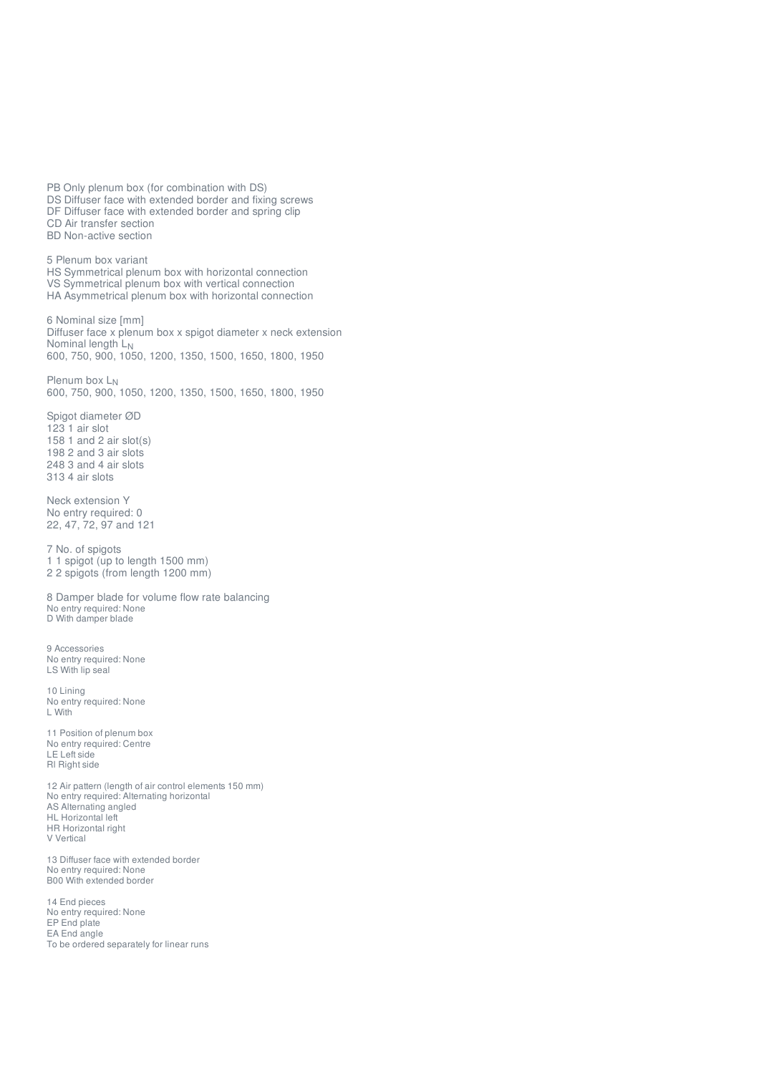PB Only plenum box (for combination with DS) DS Diffuser face with extended border and fixing screws DF Diffuser face with extended border and spring clip CD Air transfer section BD Non-active section 5 Plenum box variant HS Symmetrical plenum box with horizontal connection VS Symmetrical plenum box with vertical connection HA Asymmetrical plenum box with horizontal connection 6 Nominal size [mm] Diffuser face x plenum box x spigot diameter x neck extension Nominal length L N 600, 750, 900, 1050, 1200, 1350, 1500, 1650, 1800, 1950 Plenum box L 600, 750, 900, 1050, 1200, 1350, 1500, 1650, 1800, 1950 NSpigot diameter ØD 123 1 air slot 158 1 and 2 air slot(s) 198 2 and 3 air slots 248 3 and 4 air slots 313 4 air slots Neck extension Y No entry required: 0 22, 47, 72, 97 and 121 7 No. of spigots 1 1 spigot (up to length 1500 mm) 2 2 spigots (from length 1200 mm) 8 Damper blade for volume flow rate balancing No entry required: None D With damper blade 9 Accessories No entry required: None LS With lip seal 10 Lining No entry required: None L With 11 Position of plenum box No entry required: Centre LE Left side Rl Right side 12 Air pattern (length of air control elements 150 mm) No entry required: Alternating horizontal AS Alternating angled HL Horizontal left HR Horizontal right V Vertical 13 Diffuser face with extended border No entry required: None B00 With extended border 14 End pieces No entry required: None EP End plate EA End angle To be ordered separately for linear runs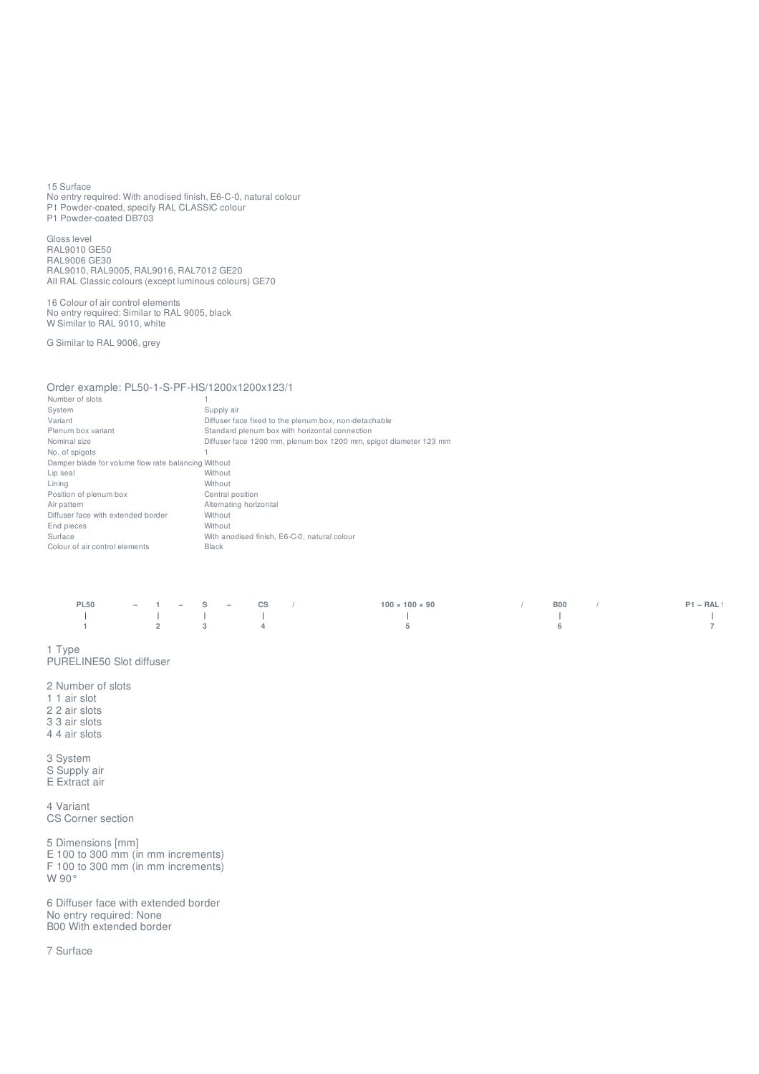15 Surface No entry required: With anodised finish, E6-C-0, natural colour P1 Powder-coated, specify RAL CLASSIC colour P1 Powder-coated DB703

Gloss level RAL9010 GE50 RAL9006 GE30 RAL9010, RAL9005, RAL9016, RAL7012 GE20 All RAL Classic colours (except luminous colours) GE70

16 Colour of air control elements No entry required: Similar to RAL 9005, black W Similar to RAL 9010, white

G Similar to RAL 9006, grey

## Order example: PL50-1-S-PF-HS/1200x1200x123/1

| Number of slots                                     |                                                                   |
|-----------------------------------------------------|-------------------------------------------------------------------|
| System                                              | Supply air                                                        |
| Variant                                             | Diffuser face fixed to the plenum box, non-detachable             |
| Plenum box variant                                  | Standard plenum box with horizontal connection                    |
| Nominal size                                        | Diffuser face 1200 mm, plenum box 1200 mm, spigot diameter 123 mm |
| No. of spigots                                      |                                                                   |
| Damper blade for volume flow rate balancing Without |                                                                   |
| Lip seal                                            | Without                                                           |
| Lining                                              | Without                                                           |
| Position of plenum box                              | Central position                                                  |
| Air pattern                                         | Alternating horizontal                                            |
| Diffuser face with extended border                  | Without                                                           |
| End pieces                                          | Without                                                           |
| Surface                                             | With anodised finish, E6-C-0, natural colour                      |
| Colour of air control elements                      | <b>Black</b>                                                      |
|                                                     |                                                                   |

| <b>PL50</b>                                                                                                     |  | $-1 - S - CS$ | $100 \times 100 \times 90$ | <b>BOO</b> / | $P1 - RAL$ |
|-----------------------------------------------------------------------------------------------------------------|--|---------------|----------------------------|--------------|------------|
| the contract of the contract of the contract of the contract of the contract of the contract of the contract of |  |               |                            |              |            |
| $1$ 2 3 4                                                                                                       |  |               |                            |              |            |

1 Type PURELINE50 Slot diffuser

2 Number of slots

1 1 air slot

2 2 air slots

- 3 3 air slots
- 4 4 air slots

3 System S Supply air E Extract air

4 Variant CS Corner section

5 Dimensions [mm] E 100 to 300 mm (in mm increments) F 100 to 300 mm (in mm increments) W 90°

6 Diffuser face with extended border No entry required: None B00 With extended border

7 Surface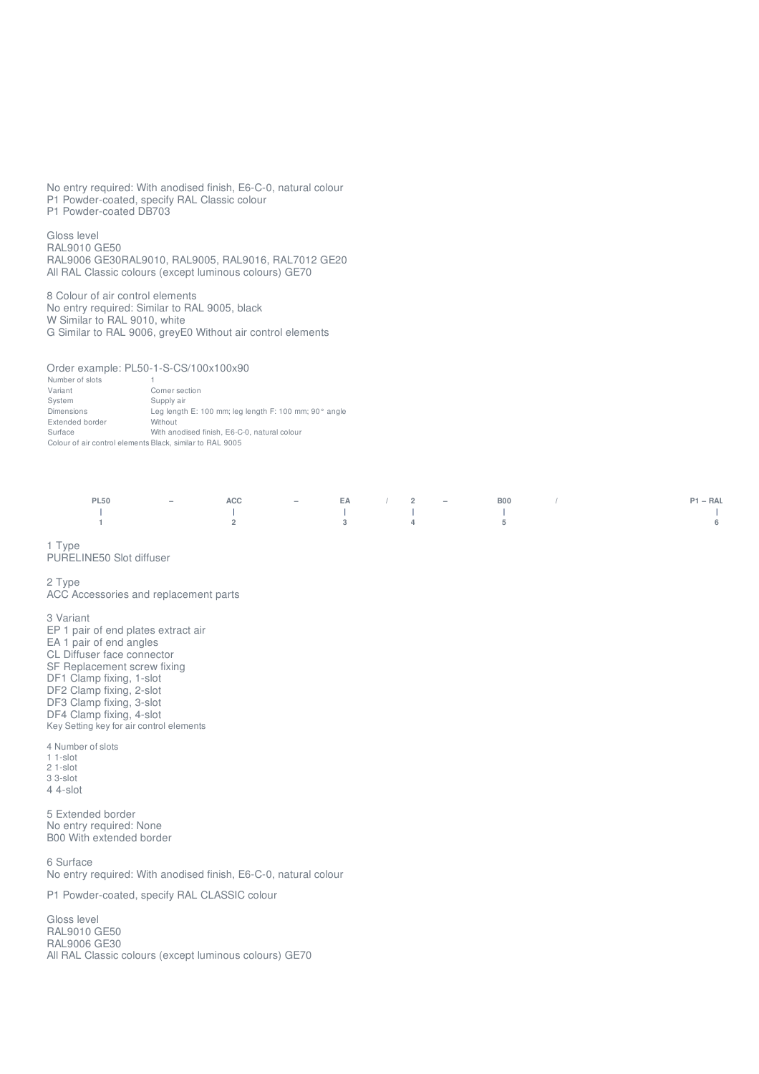No entry required: With anodised finish, E6-C-0, natural colour P1 Powder-coated, specify RAL Classic colour P1 Powder-coated DB703

Glo s s le v el RAL9010 G E 5 0 RAL9006 GE30RAL9010, RAL9005, RAL9016, RAL7012 GE20 All RAL Classic colours (except luminous colours) GE70

8 Colour of air control elements No entry required: Similar to RAL 9005, black W Similar to RAL 9010, white G Similar to RAL 9006, greyE0 Without air control elements

Order example: PL50-1-S-CS/100x100x90

Number of slots 1 Variant Corner section System S u p ply air Dimensions Leg length E: 100 mm; leg length F: 100 mm; 90° angle Extended border Without Surface With anodised finish, E6-C-0, natural colour Colour of air control elements Black, similar to RAL 9005

|  |  |  |  | PL50 - ACC - EA / 2 - B00 /                                                                                                                                                                                                    | $P1 - RAL$      |
|--|--|--|--|--------------------------------------------------------------------------------------------------------------------------------------------------------------------------------------------------------------------------------|-----------------|
|  |  |  |  | $\sim$ 1 and 2 and 2 and 2 and 2 and 2 and 2 and 2 and 2 and 2 and 2 and 2 and 2 and 2 and 2 and 2 and 2 and 2 and 2 and 2 and 2 and 2 and 2 and 2 and 2 and 2 and 2 and 2 and 2 and 2 and 2 and 2 and 2 and 2 and 2 and 2 and | and the first   |
|  |  |  |  |                                                                                                                                                                                                                                | $6\overline{6}$ |

1 T y p e

PURELINE50 Slot diffuser

#### 2 T y p e

ACC Accessories and replacement parts

3 Variant EP 1 pair of end plates extract air EA 1 pair of end angles CL Diffuser face connector SF Replacement screw fixing DF1 Clamp fixing, 1-slot DF2 Clamp fixing, 2-slot DF3 Clamp fixing, 3-slot DF4 Clamp fixing, 4-slot Key Setting key for air control elements

### 4 Number of slots

- 1 1 slo t 2 1 - slo t
- 3 3 slo t 4 4-slot

5 Extended border No entry required: None B00 With extended border

6 Surface No entry required: With anodised finish, E6-C-0, natural colour

P1 Powder-coated, specify RAL CLASSIC colour

Glo s s le v el RAL9010 G E 5 0 R A L 9 0 0 6 G E 3 0 All RAL Classic colours (except luminous colours) GE70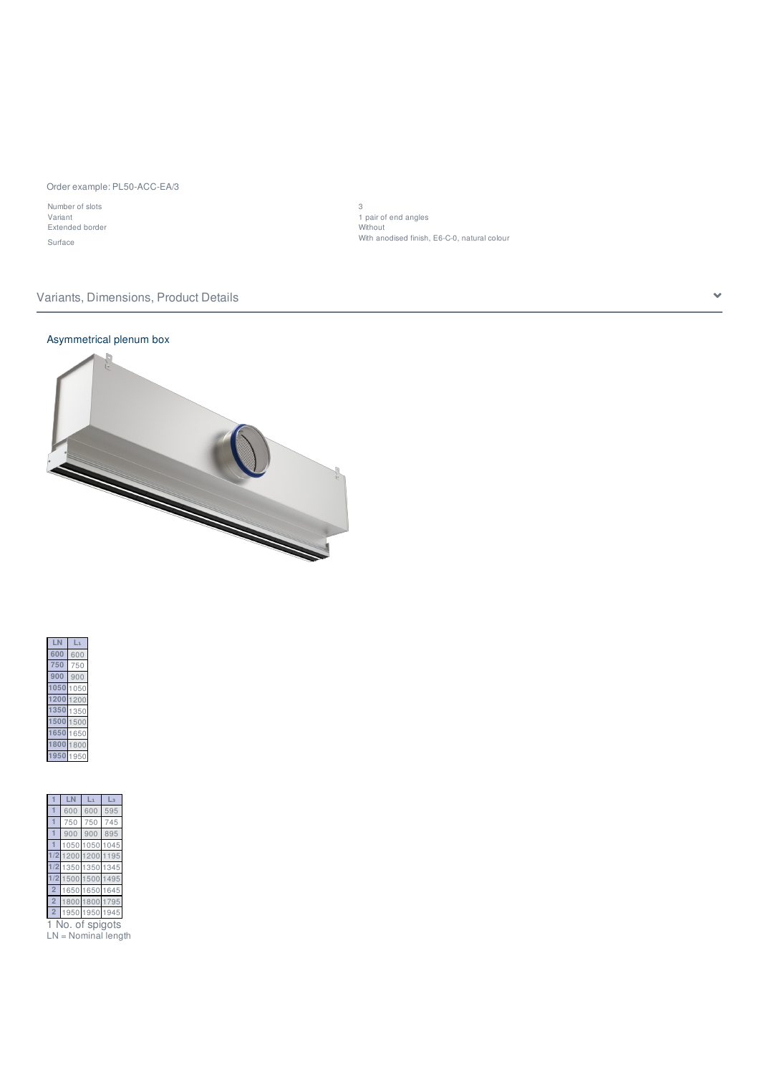### Order example: PL50-ACC-EA/3

Number of slots 3 Extended border Without

Variant 1 pair of end angles Surface With anodised finish, E6-C-0, natural colour

## Variants, Dimensions, Product Details

## Asymmetrical plenum box







No. of spigots LN = Nominal length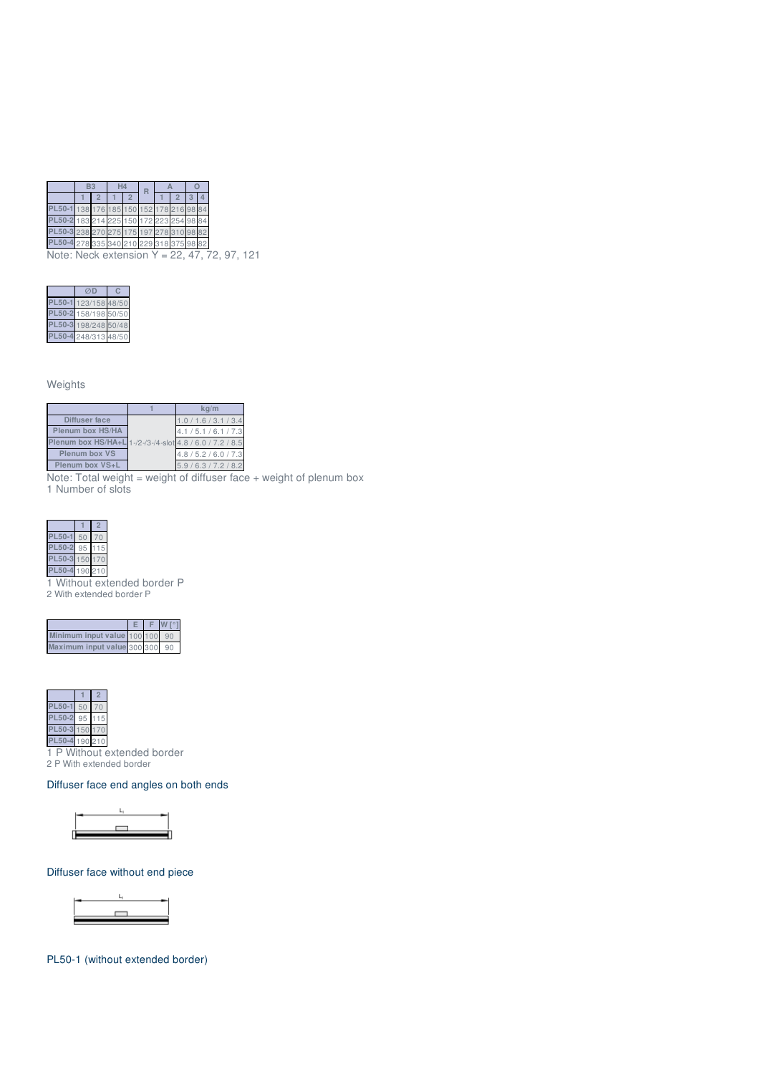|                                         |  |  |  | 176 185 150 152 178 216 98             |  |
|-----------------------------------------|--|--|--|----------------------------------------|--|
| L50-2 183 214 225 150 172 223 254 98 84 |  |  |  |                                        |  |
| L50-3 238 270 275 175 197 278 310 98 82 |  |  |  |                                        |  |
|                                         |  |  |  | 50-4 278 335 340 210 229 318 375 98 82 |  |
|                                         |  |  |  |                                        |  |

Note: Neck extension Y = 22, 47, 72, 97, 121

| 23/158 48     |   |
|---------------|---|
| 158/198 50/50 |   |
| 98/248        | 5 |
| 248/313 48/50 |   |

Weights

|                                                          | $k\alpha/m$           |
|----------------------------------------------------------|-----------------------|
| Diffuser face                                            | 1.0 / 1.6 / 3.1 / 3.4 |
| Plenum box HS/HA                                         | 4.1 / 5.1 / 6.1 / 7.3 |
| Plenum box HS/HA+L 1-/2-/3-/4-slot 4.8 / 6.0 / 7.2 / 8.5 |                       |
| Plenum box VS                                            | 4.8 / 5.2 / 6.0 / 7.3 |
| Plenum box VS+L                                          | 5.9/6.3/7.2/8.2       |

Note: Total weight = weight of diffuser face + weight of plenum box 1 Number of slots

**1 2 PL50-1** 50 70 **PL50-2** 95 115 **PL50-3** 150 170 **PL50-4** 190 210

1 Without extended border P 2 With extended border P

| U |  |
|---|--|



1 P Without extended border 2 P With extended border

Diffuser face end angles on both ends



Diffuser face without end piece



PL50-1 (without extended border)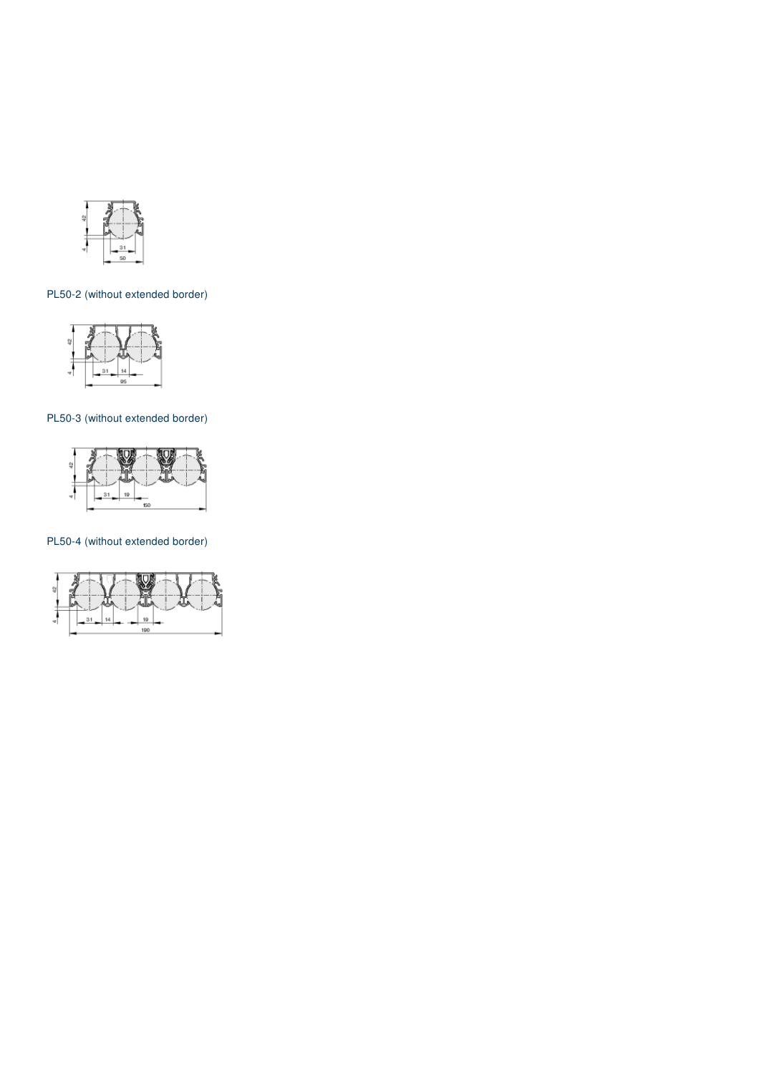

## PL50-2 (without extended border)



## PL50-3 (without extended border)



## PL50-4 (without extended border)